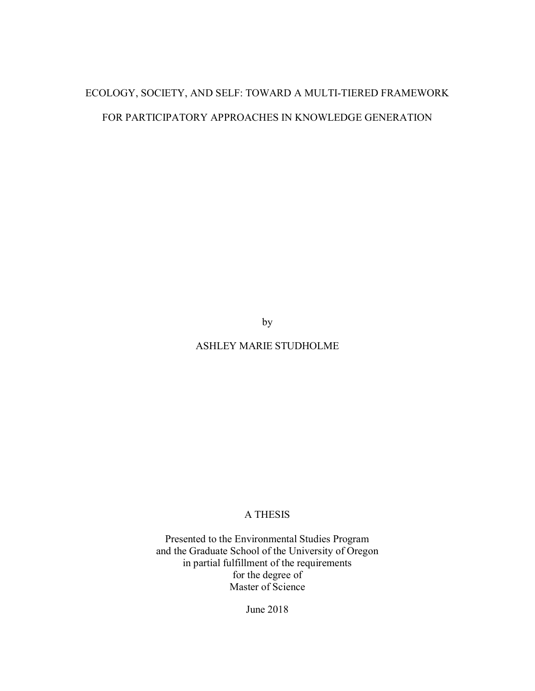# ECOLOGY, SOCIETY, AND SELF: TOWARD A MULTI-TIERED FRAMEWORK FOR PARTICIPATORY APPROACHES IN KNOWLEDGE GENERATION

by

ASHLEY MARIE STUDHOLME

# A THESIS

Presented to the Environmental Studies Program and the Graduate School of the University of Oregon in partial fulfillment of the requirements for the degree of Master of Science

June 2018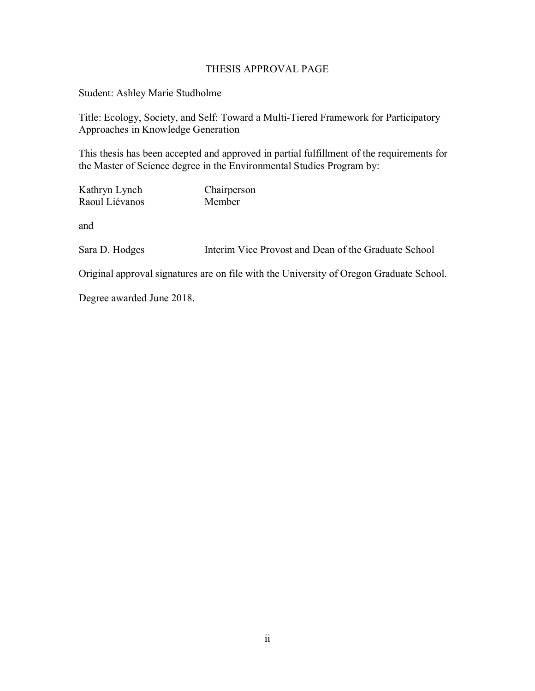# THESIS APPROVAL PAGE

Student: Ashley Marie Studholme

Title: Ecology, Society, and Self: Toward a Multi-Tiered Framework for Participatory Approaches in Knowledge Generation

This thesis has been accepted and approved in partial fulfillment of the requirements for the Master of Science degree in the Environmental Studies Program by:

Kathryn Lynch Chairperson Raoul Liévanos Member

and

Sara D. Hodges Interim Vice Provost and Dean of the Graduate School

Original approval signatures are on file with the University of Oregon Graduate School.

Degree awarded June 2018.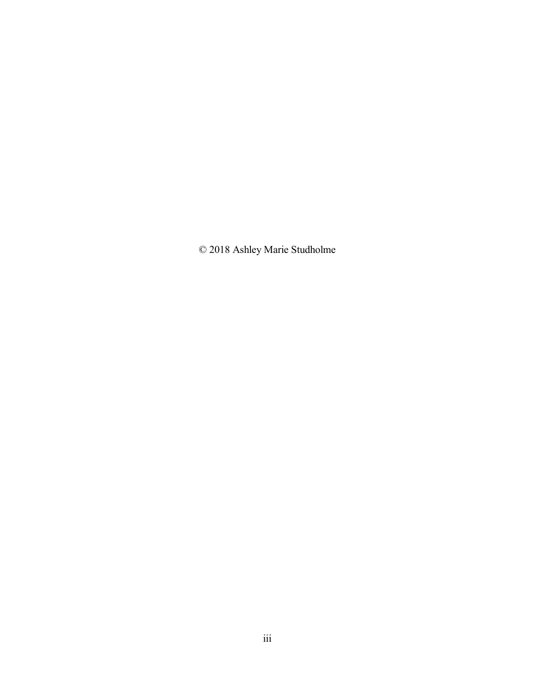© 2018 Ashley Marie Studholme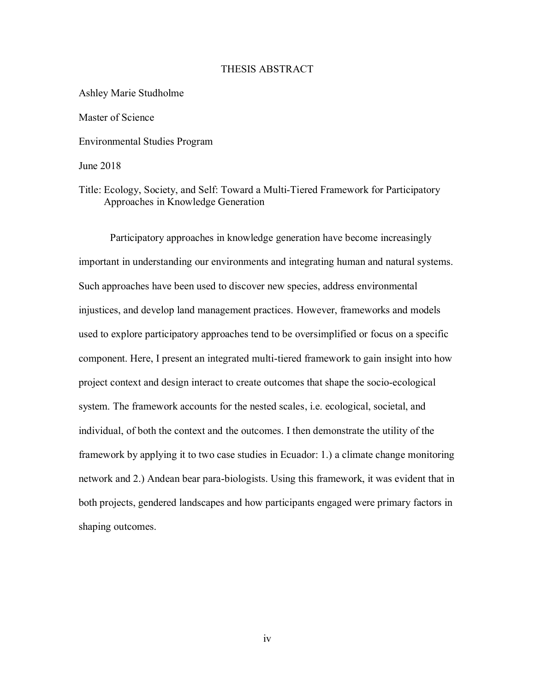#### THESIS ABSTRACT

Ashley Marie Studholme Master of Science Environmental Studies Program June 2018

Title: Ecology, Society, and Self: Toward a Multi-Tiered Framework for Participatory Approaches in Knowledge Generation

Participatory approaches in knowledge generation have become increasingly important in understanding our environments and integrating human and natural systems. Such approaches have been used to discover new species, address environmental injustices, and develop land management practices. However, frameworks and models used to explore participatory approaches tend to be oversimplified or focus on a specific component. Here, I present an integrated multi-tiered framework to gain insight into how project context and design interact to create outcomes that shape the socio-ecological system. The framework accounts for the nested scales, i.e. ecological, societal, and individual, of both the context and the outcomes. I then demonstrate the utility of the framework by applying it to two case studies in Ecuador: 1.) a climate change monitoring network and 2.) Andean bear para-biologists. Using this framework, it was evident that in both projects, gendered landscapes and how participants engaged were primary factors in shaping outcomes.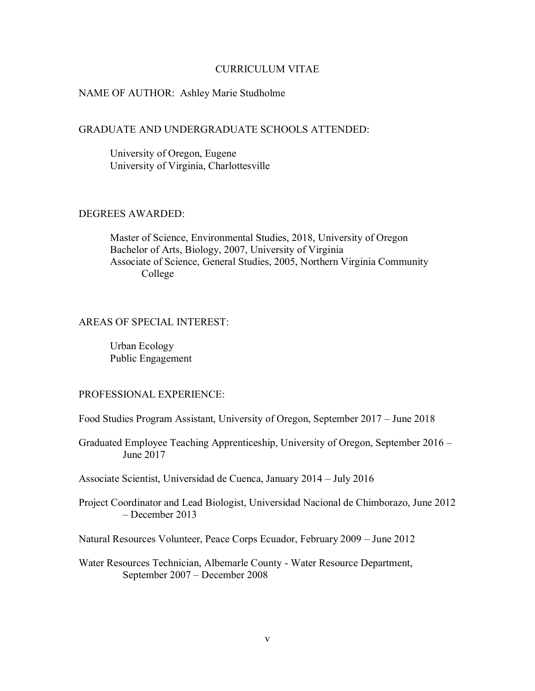#### CURRICULUM VITAE

### NAME OF AUTHOR: Ashley Marie Studholme

# GRADUATE AND UNDERGRADUATE SCHOOLS ATTENDED:

University of Oregon, Eugene University of Virginia, Charlottesville

## DEGREES AWARDED:

Master of Science, Environmental Studies, 2018, University of Oregon Bachelor of Arts, Biology, 2007, University of Virginia Associate of Science, General Studies, 2005, Northern Virginia Community College

# AREAS OF SPECIAL INTEREST:

Urban Ecology Public Engagement

#### PROFESSIONAL EXPERIENCE:

Food Studies Program Assistant, University of Oregon, September 2017 – June 2018

Graduated Employee Teaching Apprenticeship, University of Oregon, September 2016 – June 2017

Associate Scientist, Universidad de Cuenca, January 2014 – July 2016

Project Coordinator and Lead Biologist, Universidad Nacional de Chimborazo, June 2012 – December 2013

Natural Resources Volunteer, Peace Corps Ecuador, February 2009 – June 2012

Water Resources Technician, Albemarle County - Water Resource Department, September 2007 – December 2008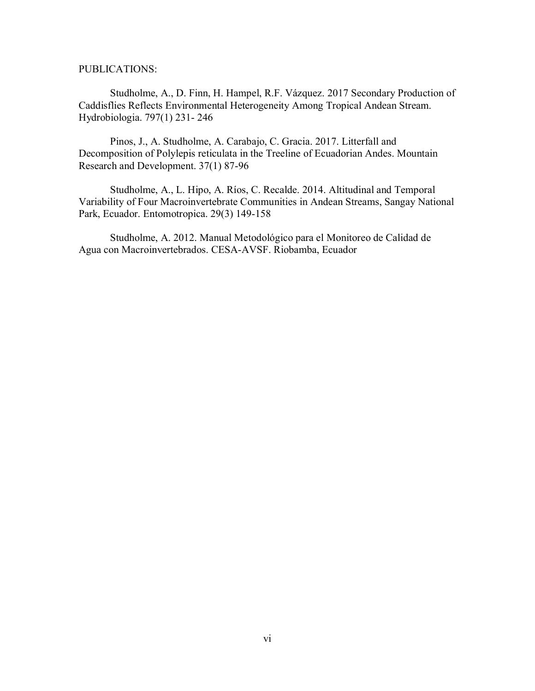PUBLICATIONS:

Studholme, A., D. Finn, H. Hampel, R.F. Vázquez. 2017 Secondary Production of Caddisflies Reflects Environmental Heterogeneity Among Tropical Andean Stream. Hydrobiologia. 797(1) 231- 246

Pinos, J., A. Studholme, A. Carabajo, C. Gracia. 2017. Litterfall and Decomposition of Polylepis reticulata in the Treeline of Ecuadorian Andes. Mountain Research and Development. 37(1) 87-96

Studholme, A., L. Hipo, A. Ríos, C. Recalde. 2014. Altitudinal and Temporal Variability of Four Macroinvertebrate Communities in Andean Streams, Sangay National Park, Ecuador. Entomotropica. 29(3) 149-158

Studholme, A. 2012. Manual Metodológico para el Monitoreo de Calidad de Agua con Macroinvertebrados. CESA-AVSF. Riobamba, Ecuador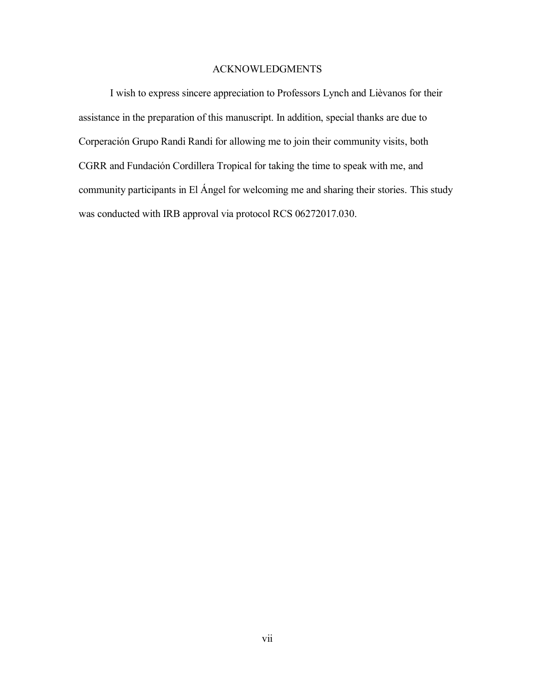# ACKNOWLEDGMENTS

I wish to express sincere appreciation to Professors Lynch and Lièvanos for their assistance in the preparation of this manuscript. In addition, special thanks are due to Corperación Grupo Randi Randi for allowing me to join their community visits, both CGRR and Fundación Cordillera Tropical for taking the time to speak with me, and community participants in El Ángel for welcoming me and sharing their stories. This study was conducted with IRB approval via protocol RCS 06272017.030.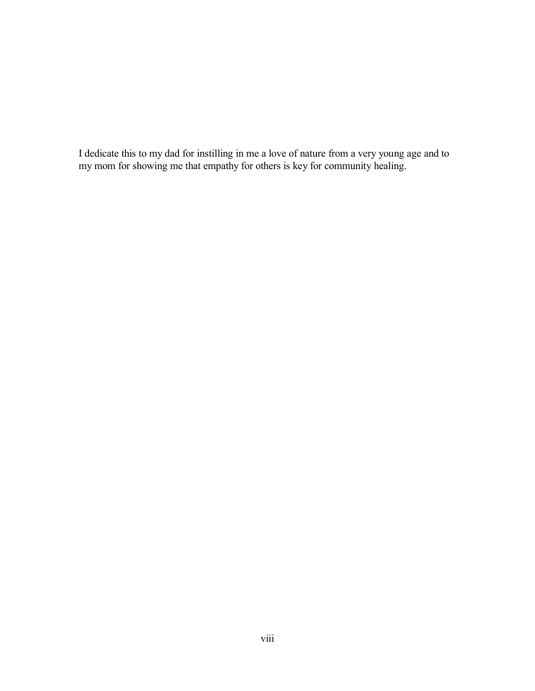I dedicate this to my dad for instilling in me a love of nature from a very young age and to my mom for showing me that empathy for others is key for community healing.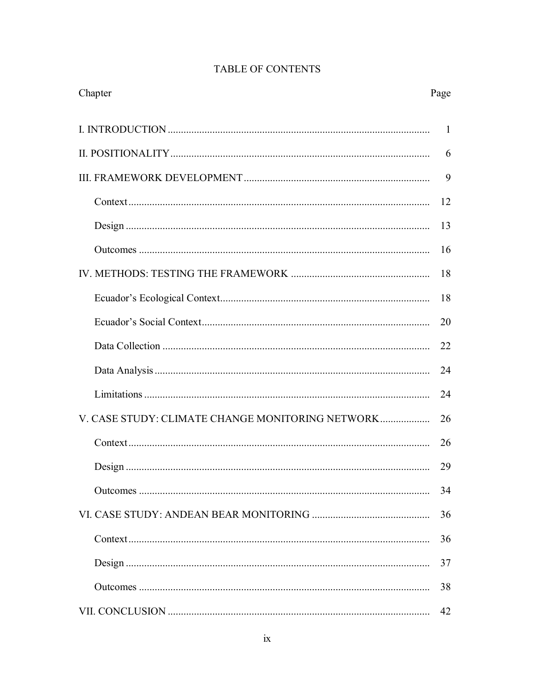| Chapter                                          | Page |
|--------------------------------------------------|------|
|                                                  | 1    |
|                                                  | 6    |
|                                                  | 9    |
|                                                  | 12   |
|                                                  | 13   |
|                                                  | 16   |
|                                                  | 18   |
|                                                  | 18   |
|                                                  | 20   |
|                                                  | 22   |
|                                                  | 24   |
|                                                  | 24   |
| V. CASE STUDY: CLIMATE CHANGE MONITORING NETWORK | 26   |
|                                                  | 26   |
|                                                  | 29   |
|                                                  | 34   |
|                                                  | 36   |
|                                                  | 36   |
|                                                  | 37   |
|                                                  | 38   |
|                                                  | 42   |

# TABLE OF CONTENTS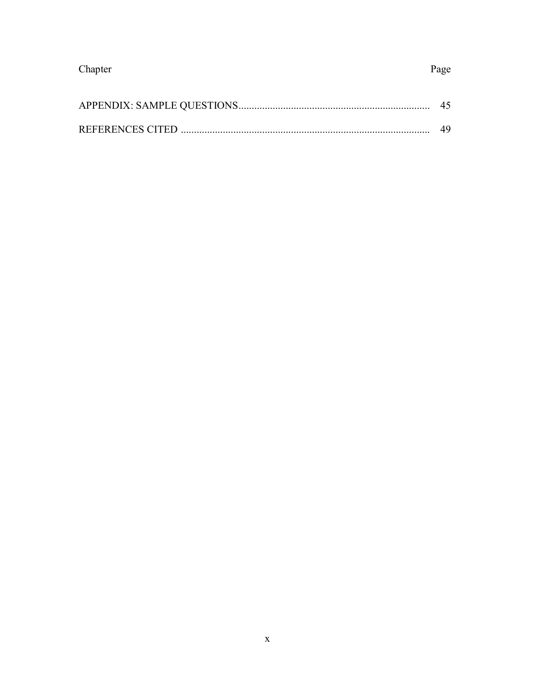| Chapter | Page |
|---------|------|
|         |      |
|         | 49   |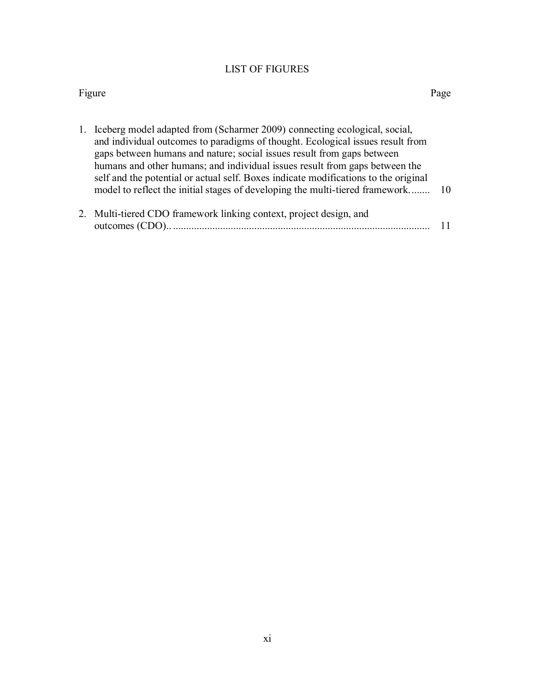# LIST OF FIGURES

## Figure Page

| 1. Iceberg model adapted from (Scharmer 2009) connecting ecological, social,<br>and individual outcomes to paradigms of thought. Ecological issues result from<br>gaps between humans and nature; social issues result from gaps between<br>humans and other humans; and individual issues result from gaps between the<br>self and the potential or actual self. Boxes indicate modifications to the original<br>model to reflect the initial stages of developing the multi-tiered framework | -10 |
|------------------------------------------------------------------------------------------------------------------------------------------------------------------------------------------------------------------------------------------------------------------------------------------------------------------------------------------------------------------------------------------------------------------------------------------------------------------------------------------------|-----|
| 2. Multi-tiered CDO framework linking context, project design, and                                                                                                                                                                                                                                                                                                                                                                                                                             |     |

| $\mathcal{L}$ . Than noted $\mathcal{L}$ by trainer our mining content, project design, and |  |
|---------------------------------------------------------------------------------------------|--|
| outcomes (CDO).                                                                             |  |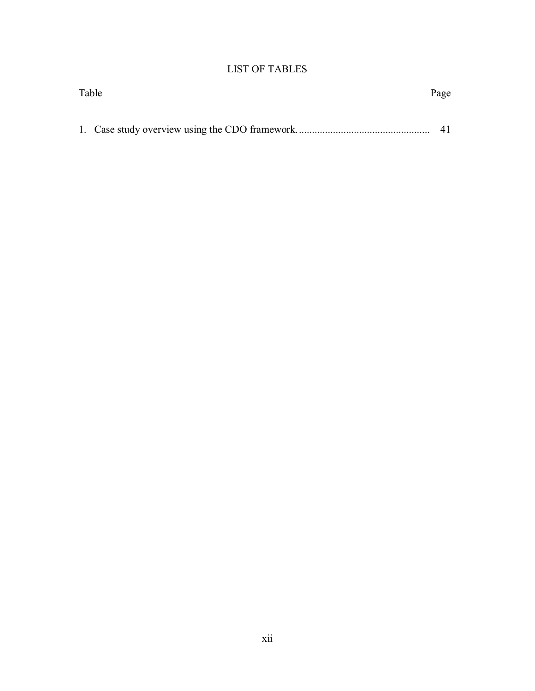# LIST OF TABLES

| Table |  | Page |
|-------|--|------|
|       |  |      |
|       |  |      |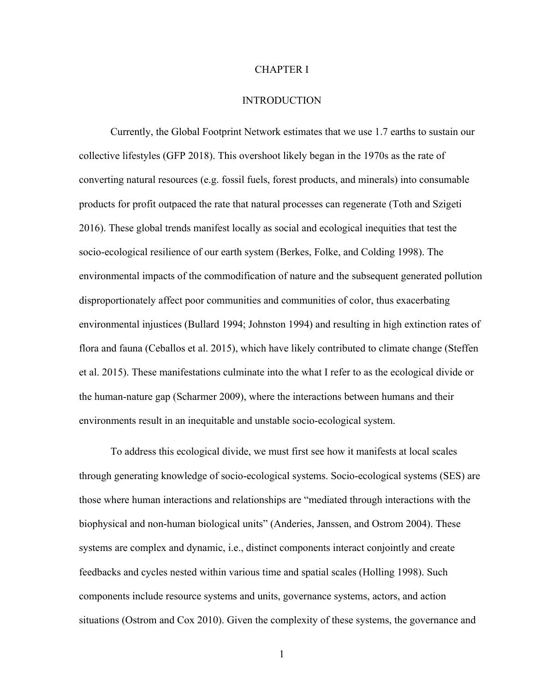#### CHAPTER I

# **INTRODUCTION**

Currently, the Global Footprint Network estimates that we use 1.7 earths to sustain our collective lifestyles (GFP 2018). This overshoot likely began in the 1970s as the rate of converting natural resources (e.g. fossil fuels, forest products, and minerals) into consumable products for profit outpaced the rate that natural processes can regenerate (Toth and Szigeti 2016). These global trends manifest locally as social and ecological inequities that test the socio-ecological resilience of our earth system (Berkes, Folke, and Colding 1998). The environmental impacts of the commodification of nature and the subsequent generated pollution disproportionately affect poor communities and communities of color, thus exacerbating environmental injustices (Bullard 1994; Johnston 1994) and resulting in high extinction rates of flora and fauna (Ceballos et al. 2015), which have likely contributed to climate change (Steffen et al. 2015). These manifestations culminate into the what I refer to as the ecological divide or the human-nature gap (Scharmer 2009), where the interactions between humans and their environments result in an inequitable and unstable socio-ecological system.

To address this ecological divide, we must first see how it manifests at local scales through generating knowledge of socio-ecological systems. Socio-ecological systems (SES) are those where human interactions and relationships are "mediated through interactions with the biophysical and non-human biological units" (Anderies, Janssen, and Ostrom 2004). These systems are complex and dynamic, i.e., distinct components interact conjointly and create feedbacks and cycles nested within various time and spatial scales (Holling 1998). Such components include resource systems and units, governance systems, actors, and action situations (Ostrom and Cox 2010). Given the complexity of these systems, the governance and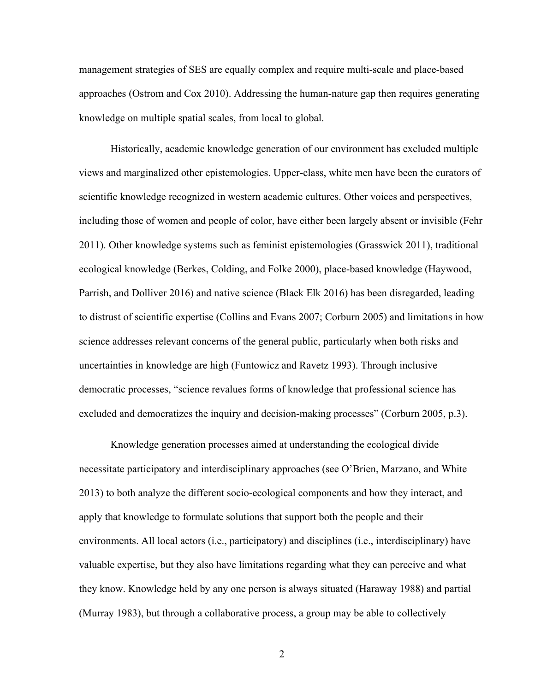management strategies of SES are equally complex and require multi-scale and place-based approaches (Ostrom and Cox 2010). Addressing the human-nature gap then requires generating knowledge on multiple spatial scales, from local to global.

Historically, academic knowledge generation of our environment has excluded multiple views and marginalized other epistemologies. Upper-class, white men have been the curators of scientific knowledge recognized in western academic cultures. Other voices and perspectives, including those of women and people of color, have either been largely absent or invisible (Fehr 2011). Other knowledge systems such as feminist epistemologies (Grasswick 2011), traditional ecological knowledge (Berkes, Colding, and Folke 2000), place-based knowledge (Haywood, Parrish, and Dolliver 2016) and native science (Black Elk 2016) has been disregarded, leading to distrust of scientific expertise (Collins and Evans 2007; Corburn 2005) and limitations in how science addresses relevant concerns of the general public, particularly when both risks and uncertainties in knowledge are high (Funtowicz and Ravetz 1993). Through inclusive democratic processes, "science revalues forms of knowledge that professional science has excluded and democratizes the inquiry and decision-making processes" (Corburn 2005, p.3).

Knowledge generation processes aimed at understanding the ecological divide necessitate participatory and interdisciplinary approaches (see O'Brien, Marzano, and White 2013) to both analyze the different socio-ecological components and how they interact, and apply that knowledge to formulate solutions that support both the people and their environments. All local actors (i.e., participatory) and disciplines (i.e., interdisciplinary) have valuable expertise, but they also have limitations regarding what they can perceive and what they know. Knowledge held by any one person is always situated (Haraway 1988) and partial (Murray 1983), but through a collaborative process, a group may be able to collectively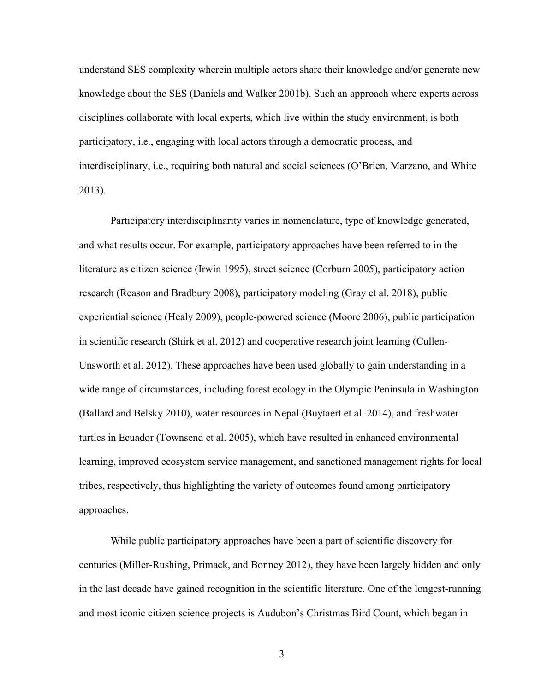understand SES complexity wherein multiple actors share their knowledge and/or generate new knowledge about the SES (Daniels and Walker 2001b). Such an approach where experts across disciplines collaborate with local experts, which live within the study environment, is both participatory, i.e., engaging with local actors through a democratic process, and interdisciplinary, i.e., requiring both natural and social sciences (O'Brien, Marzano, and White 2013).

Participatory interdisciplinarity varies in nomenclature, type of knowledge generated, and what results occur. For example, participatory approaches have been referred to in the literature as citizen science (Irwin 1995), street science (Corburn 2005), participatory action research (Reason and Bradbury 2008), participatory modeling (Gray et al. 2018), public experiential science (Healy 2009), people-powered science (Moore 2006), public participation in scientific research (Shirk et al. 2012) and cooperative research joint learning (Cullen-Unsworth et al. 2012). These approaches have been used globally to gain understanding in a wide range of circumstances, including forest ecology in the Olympic Peninsula in Washington (Ballard and Belsky 2010), water resources in Nepal (Buytaert et al. 2014), and freshwater turtles in Ecuador (Townsend et al. 2005), which have resulted in enhanced environmental learning, improved ecosystem service management, and sanctioned management rights for local tribes, respectively, thus highlighting the variety of outcomes found among participatory approaches.

While public participatory approaches have been a part of scientific discovery for centuries (Miller-Rushing, Primack, and Bonney 2012), they have been largely hidden and only in the last decade have gained recognition in the scientific literature. One of the longest-running and most iconic citizen science projects is Audubon's Christmas Bird Count, which began in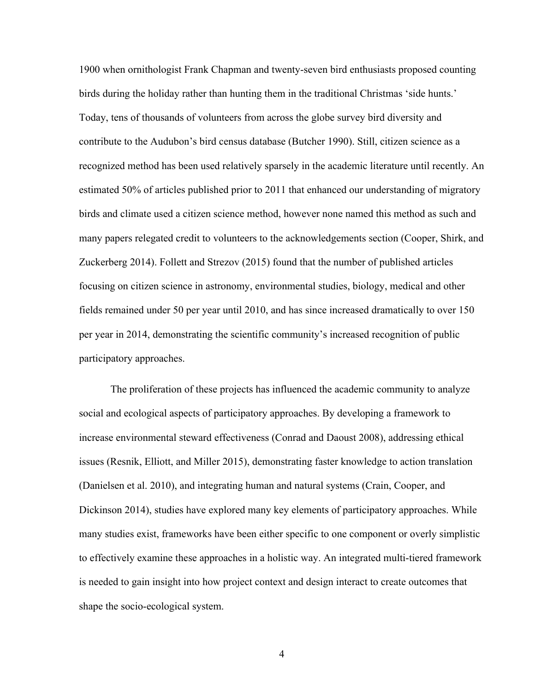1900 when ornithologist Frank Chapman and twenty-seven bird enthusiasts proposed counting birds during the holiday rather than hunting them in the traditional Christmas 'side hunts.' Today, tens of thousands of volunteers from across the globe survey bird diversity and contribute to the Audubon's bird census database (Butcher 1990). Still, citizen science as a recognized method has been used relatively sparsely in the academic literature until recently. An estimated 50% of articles published prior to 2011 that enhanced our understanding of migratory birds and climate used a citizen science method, however none named this method as such and many papers relegated credit to volunteers to the acknowledgements section (Cooper, Shirk, and Zuckerberg 2014). Follett and Strezov (2015) found that the number of published articles focusing on citizen science in astronomy, environmental studies, biology, medical and other fields remained under 50 per year until 2010, and has since increased dramatically to over 150 per year in 2014, demonstrating the scientific community's increased recognition of public participatory approaches.

The proliferation of these projects has influenced the academic community to analyze social and ecological aspects of participatory approaches. By developing a framework to increase environmental steward effectiveness (Conrad and Daoust 2008), addressing ethical issues (Resnik, Elliott, and Miller 2015), demonstrating faster knowledge to action translation (Danielsen et al. 2010), and integrating human and natural systems (Crain, Cooper, and Dickinson 2014), studies have explored many key elements of participatory approaches. While many studies exist, frameworks have been either specific to one component or overly simplistic to effectively examine these approaches in a holistic way. An integrated multi-tiered framework is needed to gain insight into how project context and design interact to create outcomes that shape the socio-ecological system.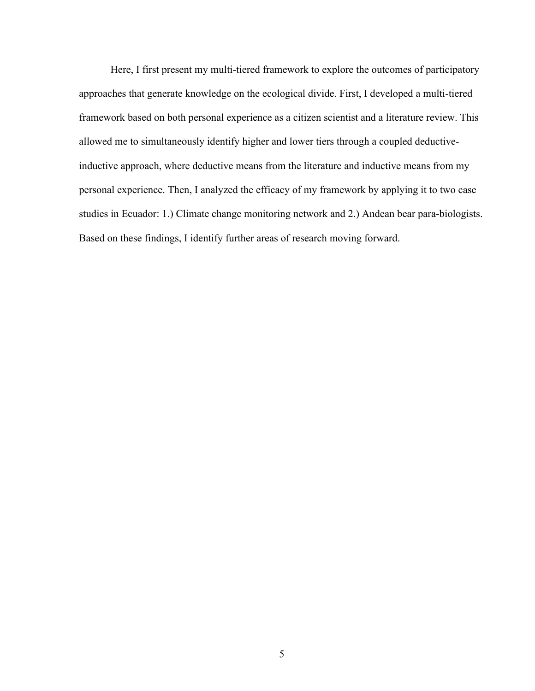Here, I first present my multi-tiered framework to explore the outcomes of participatory approaches that generate knowledge on the ecological divide. First, I developed a multi-tiered framework based on both personal experience as a citizen scientist and a literature review. This allowed me to simultaneously identify higher and lower tiers through a coupled deductiveinductive approach, where deductive means from the literature and inductive means from my personal experience. Then, I analyzed the efficacy of my framework by applying it to two case studies in Ecuador: 1.) Climate change monitoring network and 2.) Andean bear para-biologists. Based on these findings, I identify further areas of research moving forward.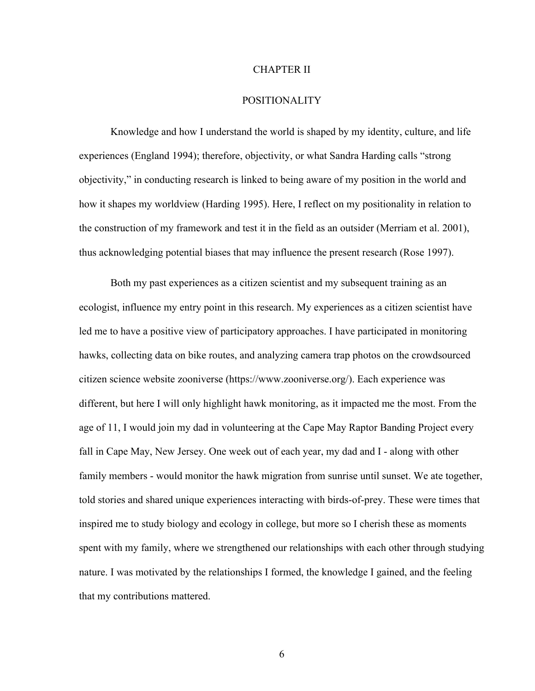#### CHAPTER II

# POSITIONALITY

Knowledge and how I understand the world is shaped by my identity, culture, and life experiences (England 1994); therefore, objectivity, or what Sandra Harding calls "strong objectivity," in conducting research is linked to being aware of my position in the world and how it shapes my worldview (Harding 1995). Here, I reflect on my positionality in relation to the construction of my framework and test it in the field as an outsider (Merriam et al. 2001), thus acknowledging potential biases that may influence the present research (Rose 1997).

Both my past experiences as a citizen scientist and my subsequent training as an ecologist, influence my entry point in this research. My experiences as a citizen scientist have led me to have a positive view of participatory approaches. I have participated in monitoring hawks, collecting data on bike routes, and analyzing camera trap photos on the crowdsourced citizen science website zooniverse (https://www.zooniverse.org/). Each experience was different, but here I will only highlight hawk monitoring, as it impacted me the most. From the age of 11, I would join my dad in volunteering at the Cape May Raptor Banding Project every fall in Cape May, New Jersey. One week out of each year, my dad and I - along with other family members - would monitor the hawk migration from sunrise until sunset. We ate together, told stories and shared unique experiences interacting with birds-of-prey. These were times that inspired me to study biology and ecology in college, but more so I cherish these as moments spent with my family, where we strengthened our relationships with each other through studying nature. I was motivated by the relationships I formed, the knowledge I gained, and the feeling that my contributions mattered.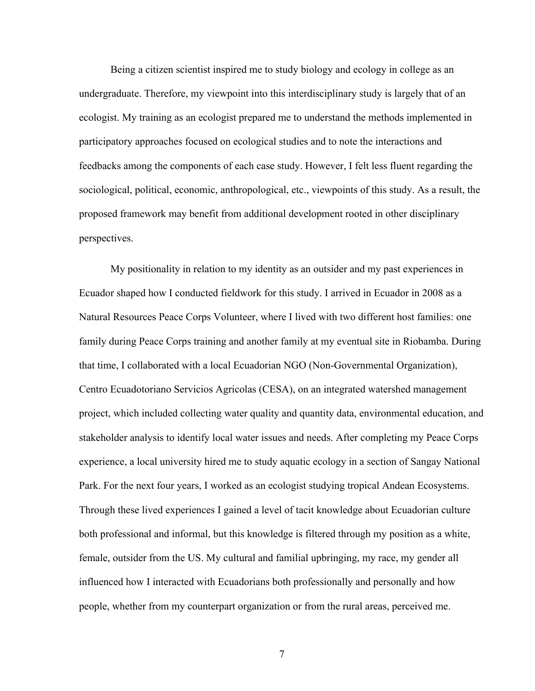Being a citizen scientist inspired me to study biology and ecology in college as an undergraduate. Therefore, my viewpoint into this interdisciplinary study is largely that of an ecologist. My training as an ecologist prepared me to understand the methods implemented in participatory approaches focused on ecological studies and to note the interactions and feedbacks among the components of each case study. However, I felt less fluent regarding the sociological, political, economic, anthropological, etc., viewpoints of this study. As a result, the proposed framework may benefit from additional development rooted in other disciplinary perspectives.

My positionality in relation to my identity as an outsider and my past experiences in Ecuador shaped how I conducted fieldwork for this study. I arrived in Ecuador in 2008 as a Natural Resources Peace Corps Volunteer, where I lived with two different host families: one family during Peace Corps training and another family at my eventual site in Riobamba. During that time, I collaborated with a local Ecuadorian NGO (Non-Governmental Organization), Centro Ecuadotoriano Servicios Agricolas (CESA), on an integrated watershed management project, which included collecting water quality and quantity data, environmental education, and stakeholder analysis to identify local water issues and needs. After completing my Peace Corps experience, a local university hired me to study aquatic ecology in a section of Sangay National Park. For the next four years, I worked as an ecologist studying tropical Andean Ecosystems. Through these lived experiences I gained a level of tacit knowledge about Ecuadorian culture both professional and informal, but this knowledge is filtered through my position as a white, female, outsider from the US. My cultural and familial upbringing, my race, my gender all influenced how I interacted with Ecuadorians both professionally and personally and how people, whether from my counterpart organization or from the rural areas, perceived me.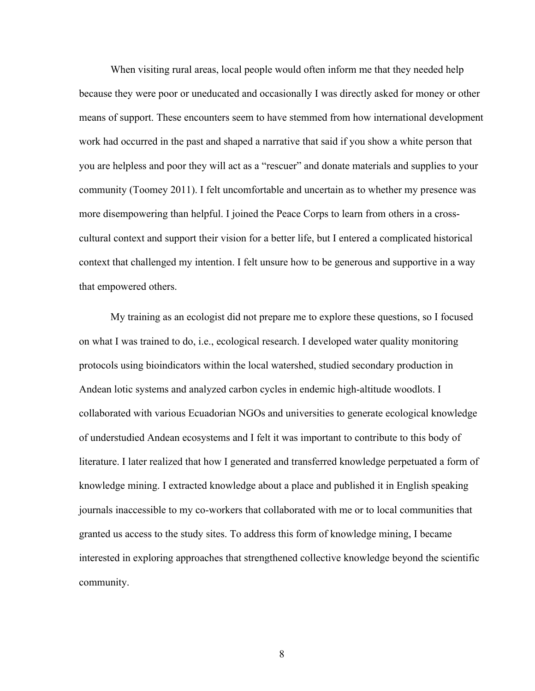When visiting rural areas, local people would often inform me that they needed help because they were poor or uneducated and occasionally I was directly asked for money or other means of support. These encounters seem to have stemmed from how international development work had occurred in the past and shaped a narrative that said if you show a white person that you are helpless and poor they will act as a "rescuer" and donate materials and supplies to your community (Toomey 2011). I felt uncomfortable and uncertain as to whether my presence was more disempowering than helpful. I joined the Peace Corps to learn from others in a crosscultural context and support their vision for a better life, but I entered a complicated historical context that challenged my intention. I felt unsure how to be generous and supportive in a way that empowered others.

My training as an ecologist did not prepare me to explore these questions, so I focused on what I was trained to do, i.e., ecological research. I developed water quality monitoring protocols using bioindicators within the local watershed, studied secondary production in Andean lotic systems and analyzed carbon cycles in endemic high-altitude woodlots. I collaborated with various Ecuadorian NGOs and universities to generate ecological knowledge of understudied Andean ecosystems and I felt it was important to contribute to this body of literature. I later realized that how I generated and transferred knowledge perpetuated a form of knowledge mining. I extracted knowledge about a place and published it in English speaking journals inaccessible to my co-workers that collaborated with me or to local communities that granted us access to the study sites. To address this form of knowledge mining, I became interested in exploring approaches that strengthened collective knowledge beyond the scientific community.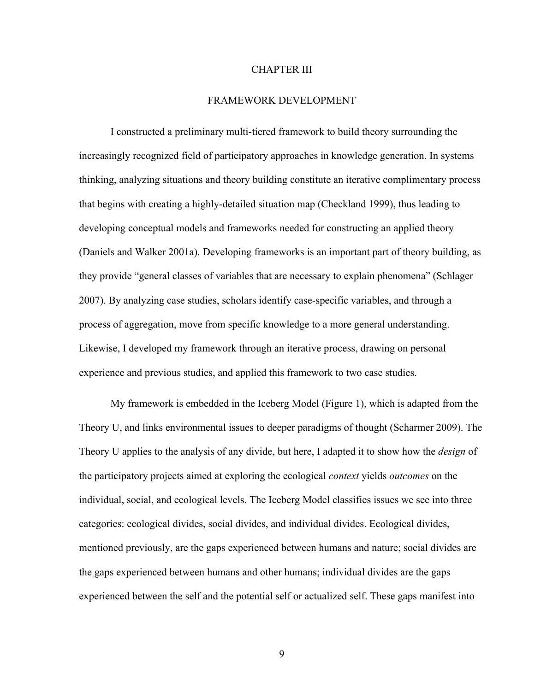#### CHAPTER III

# FRAMEWORK DEVELOPMENT

I constructed a preliminary multi-tiered framework to build theory surrounding the increasingly recognized field of participatory approaches in knowledge generation. In systems thinking, analyzing situations and theory building constitute an iterative complimentary process that begins with creating a highly-detailed situation map (Checkland 1999), thus leading to developing conceptual models and frameworks needed for constructing an applied theory (Daniels and Walker 2001a). Developing frameworks is an important part of theory building, as they provide "general classes of variables that are necessary to explain phenomena" (Schlager 2007). By analyzing case studies, scholars identify case-specific variables, and through a process of aggregation, move from specific knowledge to a more general understanding. Likewise, I developed my framework through an iterative process, drawing on personal experience and previous studies, and applied this framework to two case studies.

My framework is embedded in the Iceberg Model (Figure 1), which is adapted from the Theory U, and links environmental issues to deeper paradigms of thought (Scharmer 2009). The Theory U applies to the analysis of any divide, but here, I adapted it to show how the *design* of the participatory projects aimed at exploring the ecological *context* yields *outcomes* on the individual, social, and ecological levels. The Iceberg Model classifies issues we see into three categories: ecological divides, social divides, and individual divides. Ecological divides, mentioned previously, are the gaps experienced between humans and nature; social divides are the gaps experienced between humans and other humans; individual divides are the gaps experienced between the self and the potential self or actualized self. These gaps manifest into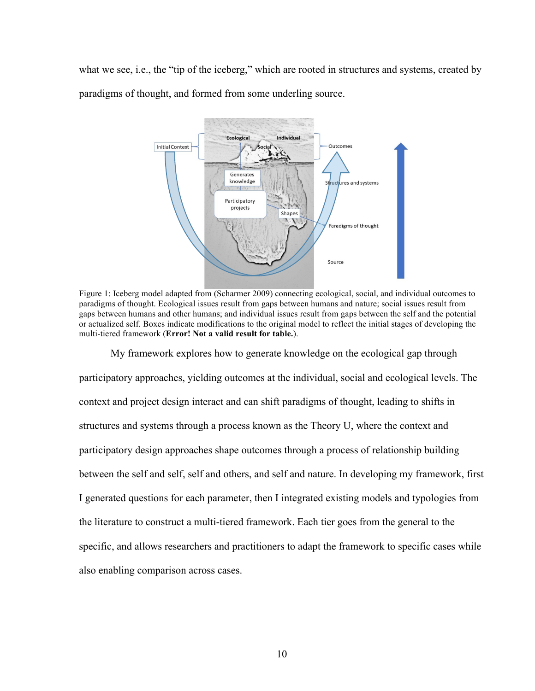what we see, i.e., the "tip of the iceberg," which are rooted in structures and systems, created by paradigms of thought, and formed from some underling source.



Figure 1: Iceberg model adapted from (Scharmer 2009) connecting ecological, social, and individual outcomes to paradigms of thought. Ecological issues result from gaps between humans and nature; social issues result from gaps between humans and other humans; and individual issues result from gaps between the self and the potential or actualized self. Boxes indicate modifications to the original model to reflect the initial stages of developing the multi-tiered framework (**Error! Not a valid result for table.**).

My framework explores how to generate knowledge on the ecological gap through participatory approaches, yielding outcomes at the individual, social and ecological levels. The context and project design interact and can shift paradigms of thought, leading to shifts in structures and systems through a process known as the Theory U, where the context and participatory design approaches shape outcomes through a process of relationship building between the self and self, self and others, and self and nature. In developing my framework, first I generated questions for each parameter, then I integrated existing models and typologies from the literature to construct a multi-tiered framework. Each tier goes from the general to the specific, and allows researchers and practitioners to adapt the framework to specific cases while also enabling comparison across cases.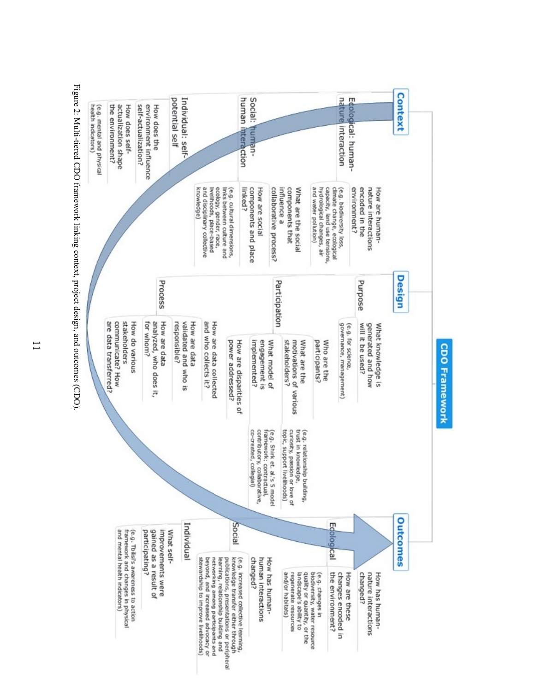

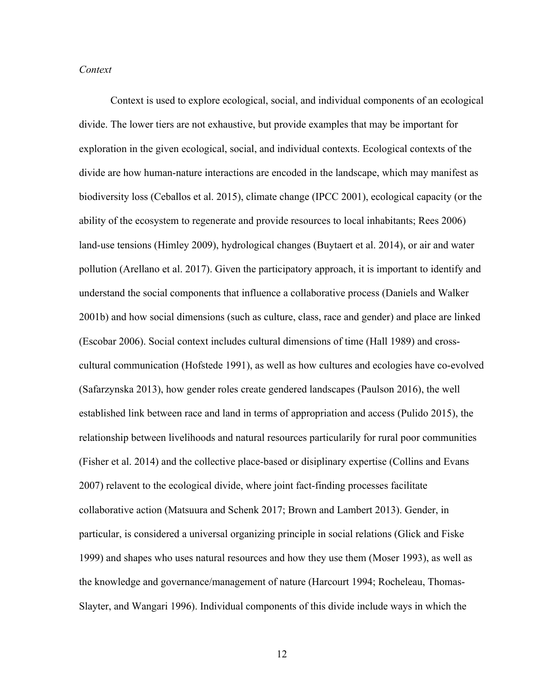## *Context*

Context is used to explore ecological, social, and individual components of an ecological divide. The lower tiers are not exhaustive, but provide examples that may be important for exploration in the given ecological, social, and individual contexts. Ecological contexts of the divide are how human-nature interactions are encoded in the landscape, which may manifest as biodiversity loss (Ceballos et al. 2015), climate change (IPCC 2001), ecological capacity (or the ability of the ecosystem to regenerate and provide resources to local inhabitants; Rees 2006) land-use tensions (Himley 2009), hydrological changes (Buytaert et al. 2014), or air and water pollution (Arellano et al. 2017). Given the participatory approach, it is important to identify and understand the social components that influence a collaborative process (Daniels and Walker 2001b) and how social dimensions (such as culture, class, race and gender) and place are linked (Escobar 2006). Social context includes cultural dimensions of time (Hall 1989) and crosscultural communication (Hofstede 1991), as well as how cultures and ecologies have co-evolved (Safarzynska 2013), how gender roles create gendered landscapes (Paulson 2016), the well established link between race and land in terms of appropriation and access (Pulido 2015), the relationship between livelihoods and natural resources particularily for rural poor communities (Fisher et al. 2014) and the collective place-based or disiplinary expertise (Collins and Evans 2007) relavent to the ecological divide, where joint fact-finding processes facilitate collaborative action (Matsuura and Schenk 2017; Brown and Lambert 2013). Gender, in particular, is considered a universal organizing principle in social relations (Glick and Fiske 1999) and shapes who uses natural resources and how they use them (Moser 1993), as well as the knowledge and governance/management of nature (Harcourt 1994; Rocheleau, Thomas-Slayter, and Wangari 1996). Individual components of this divide include ways in which the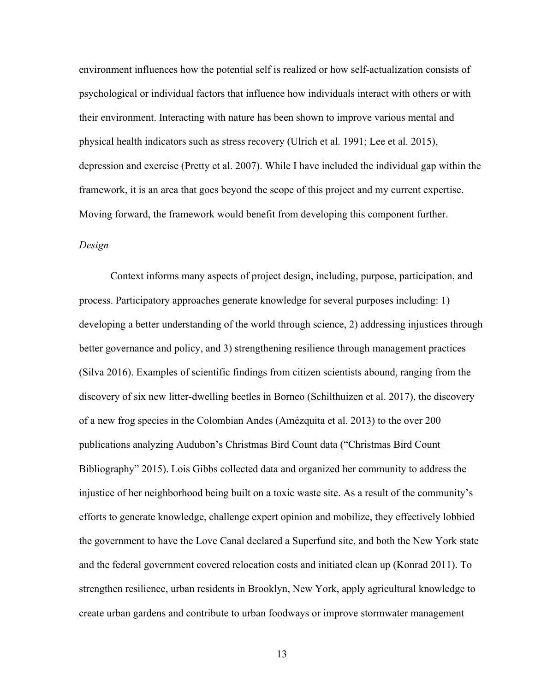environment influences how the potential self is realized or how self-actualization consists of psychological or individual factors that influence how individuals interact with others or with their environment. Interacting with nature has been shown to improve various mental and physical health indicators such as stress recovery (Ulrich et al. 1991; Lee et al. 2015), depression and exercise (Pretty et al. 2007). While I have included the individual gap within the framework, it is an area that goes beyond the scope of this project and my current expertise. Moving forward, the framework would benefit from developing this component further.

# *Design*

Context informs many aspects of project design, including, purpose, participation, and process. Participatory approaches generate knowledge for several purposes including: 1) developing a better understanding of the world through science, 2) addressing injustices through better governance and policy, and 3) strengthening resilience through management practices (Silva 2016). Examples of scientific findings from citizen scientists abound, ranging from the discovery of six new litter-dwelling beetles in Borneo (Schilthuizen et al. 2017), the discovery of a new frog species in the Colombian Andes (Amézquita et al. 2013) to the over 200 publications analyzing Audubon's Christmas Bird Count data ("Christmas Bird Count Bibliography" 2015). Lois Gibbs collected data and organized her community to address the injustice of her neighborhood being built on a toxic waste site. As a result of the community's efforts to generate knowledge, challenge expert opinion and mobilize, they effectively lobbied the government to have the Love Canal declared a Superfund site, and both the New York state and the federal government covered relocation costs and initiated clean up (Konrad 2011). To strengthen resilience, urban residents in Brooklyn, New York, apply agricultural knowledge to create urban gardens and contribute to urban foodways or improve stormwater management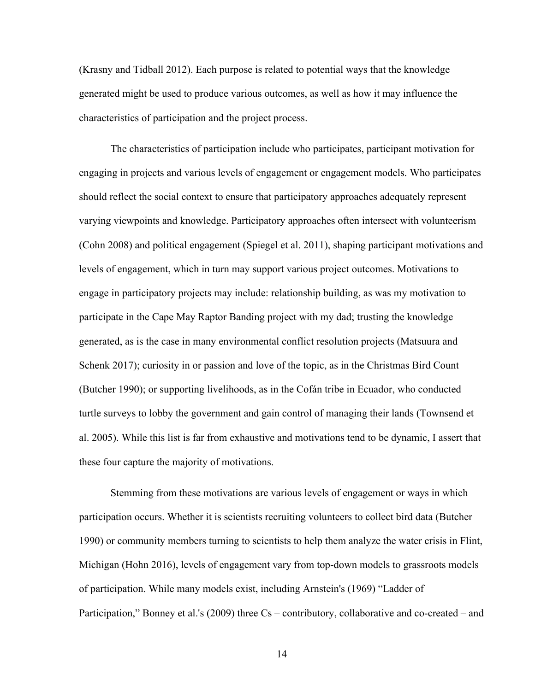(Krasny and Tidball 2012). Each purpose is related to potential ways that the knowledge generated might be used to produce various outcomes, as well as how it may influence the characteristics of participation and the project process.

The characteristics of participation include who participates, participant motivation for engaging in projects and various levels of engagement or engagement models. Who participates should reflect the social context to ensure that participatory approaches adequately represent varying viewpoints and knowledge. Participatory approaches often intersect with volunteerism (Cohn 2008) and political engagement (Spiegel et al. 2011), shaping participant motivations and levels of engagement, which in turn may support various project outcomes. Motivations to engage in participatory projects may include: relationship building, as was my motivation to participate in the Cape May Raptor Banding project with my dad; trusting the knowledge generated, as is the case in many environmental conflict resolution projects (Matsuura and Schenk 2017); curiosity in or passion and love of the topic, as in the Christmas Bird Count (Butcher 1990); or supporting livelihoods, as in the Cofán tribe in Ecuador, who conducted turtle surveys to lobby the government and gain control of managing their lands (Townsend et al. 2005). While this list is far from exhaustive and motivations tend to be dynamic, I assert that these four capture the majority of motivations.

Stemming from these motivations are various levels of engagement or ways in which participation occurs. Whether it is scientists recruiting volunteers to collect bird data (Butcher 1990) or community members turning to scientists to help them analyze the water crisis in Flint, Michigan (Hohn 2016), levels of engagement vary from top-down models to grassroots models of participation. While many models exist, including Arnstein's (1969) "Ladder of Participation," Bonney et al.'s (2009) three Cs – contributory, collaborative and co-created – and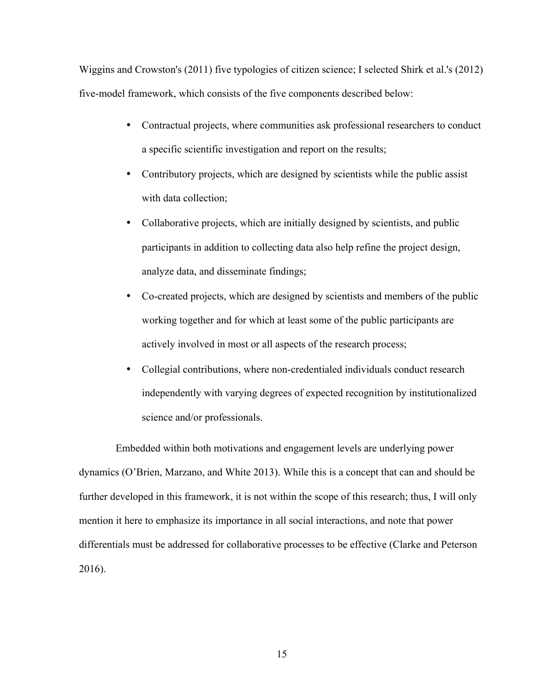Wiggins and Crowston's (2011) five typologies of citizen science; I selected Shirk et al.'s (2012) five-model framework, which consists of the five components described below:

- Contractual projects, where communities ask professional researchers to conduct a specific scientific investigation and report on the results;
- Contributory projects, which are designed by scientists while the public assist with data collection;
- Collaborative projects, which are initially designed by scientists, and public participants in addition to collecting data also help refine the project design, analyze data, and disseminate findings;
- Co-created projects, which are designed by scientists and members of the public working together and for which at least some of the public participants are actively involved in most or all aspects of the research process;
- Collegial contributions, where non-credentialed individuals conduct research independently with varying degrees of expected recognition by institutionalized science and/or professionals.

Embedded within both motivations and engagement levels are underlying power dynamics (O'Brien, Marzano, and White 2013). While this is a concept that can and should be further developed in this framework, it is not within the scope of this research; thus, I will only mention it here to emphasize its importance in all social interactions, and note that power differentials must be addressed for collaborative processes to be effective (Clarke and Peterson 2016).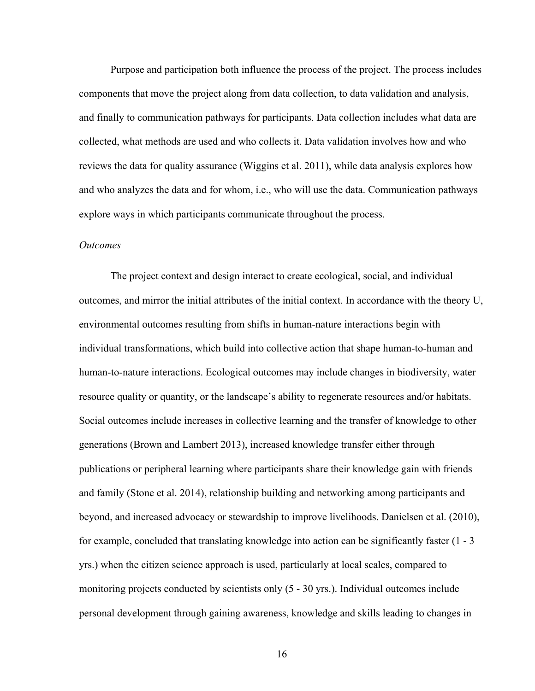Purpose and participation both influence the process of the project. The process includes components that move the project along from data collection, to data validation and analysis, and finally to communication pathways for participants. Data collection includes what data are collected, what methods are used and who collects it. Data validation involves how and who reviews the data for quality assurance (Wiggins et al. 2011), while data analysis explores how and who analyzes the data and for whom, i.e., who will use the data. Communication pathways explore ways in which participants communicate throughout the process.

#### *Outcomes*

The project context and design interact to create ecological, social, and individual outcomes, and mirror the initial attributes of the initial context. In accordance with the theory U, environmental outcomes resulting from shifts in human-nature interactions begin with individual transformations, which build into collective action that shape human-to-human and human-to-nature interactions. Ecological outcomes may include changes in biodiversity, water resource quality or quantity, or the landscape's ability to regenerate resources and/or habitats. Social outcomes include increases in collective learning and the transfer of knowledge to other generations (Brown and Lambert 2013), increased knowledge transfer either through publications or peripheral learning where participants share their knowledge gain with friends and family (Stone et al. 2014), relationship building and networking among participants and beyond, and increased advocacy or stewardship to improve livelihoods. Danielsen et al. (2010), for example, concluded that translating knowledge into action can be significantly faster (1 - 3 yrs.) when the citizen science approach is used, particularly at local scales, compared to monitoring projects conducted by scientists only (5 - 30 yrs.). Individual outcomes include personal development through gaining awareness, knowledge and skills leading to changes in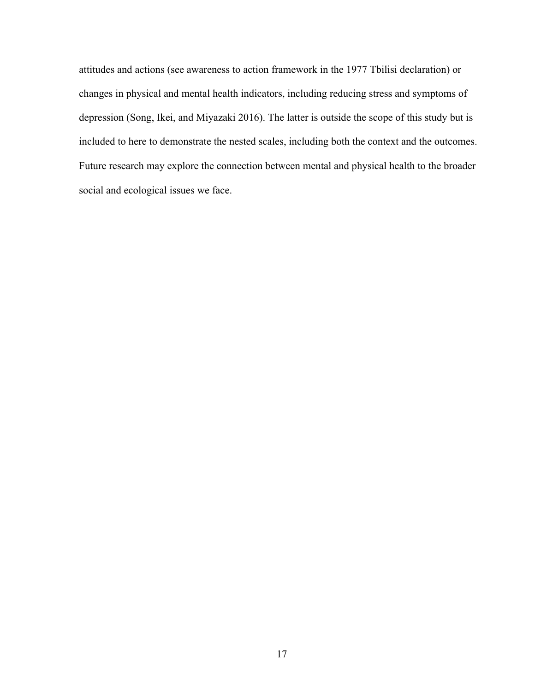attitudes and actions (see awareness to action framework in the 1977 Tbilisi declaration) or changes in physical and mental health indicators, including reducing stress and symptoms of depression (Song, Ikei, and Miyazaki 2016). The latter is outside the scope of this study but is included to here to demonstrate the nested scales, including both the context and the outcomes. Future research may explore the connection between mental and physical health to the broader social and ecological issues we face.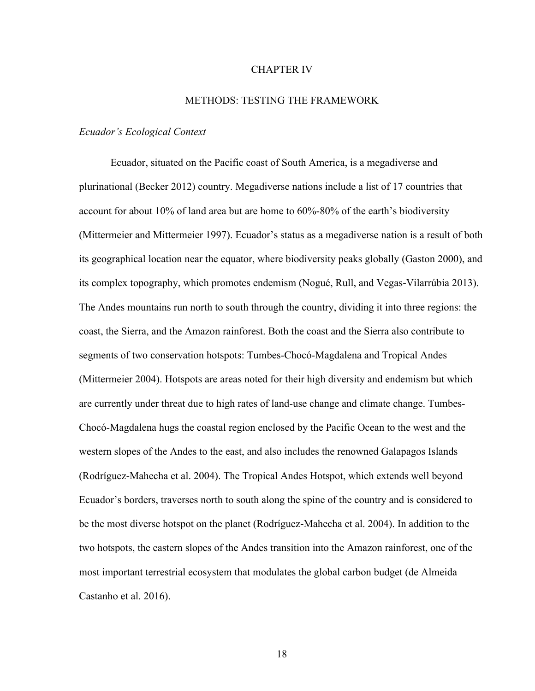#### CHAPTER IV

# METHODS: TESTING THE FRAMEWORK

#### *Ecuador's Ecological Context*

Ecuador, situated on the Pacific coast of South America, is a megadiverse and plurinational (Becker 2012) country. Megadiverse nations include a list of 17 countries that account for about 10% of land area but are home to 60%-80% of the earth's biodiversity (Mittermeier and Mittermeier 1997). Ecuador's status as a megadiverse nation is a result of both its geographical location near the equator, where biodiversity peaks globally (Gaston 2000), and its complex topography, which promotes endemism (Nogué, Rull, and Vegas-Vilarrúbia 2013). The Andes mountains run north to south through the country, dividing it into three regions: the coast, the Sierra, and the Amazon rainforest. Both the coast and the Sierra also contribute to segments of two conservation hotspots: Tumbes-Chocó-Magdalena and Tropical Andes (Mittermeier 2004). Hotspots are areas noted for their high diversity and endemism but which are currently under threat due to high rates of land-use change and climate change. Tumbes-Chocó-Magdalena hugs the coastal region enclosed by the Pacific Ocean to the west and the western slopes of the Andes to the east, and also includes the renowned Galapagos Islands (Rodríguez-Mahecha et al. 2004). The Tropical Andes Hotspot, which extends well beyond Ecuador's borders, traverses north to south along the spine of the country and is considered to be the most diverse hotspot on the planet (Rodríguez-Mahecha et al. 2004). In addition to the two hotspots, the eastern slopes of the Andes transition into the Amazon rainforest, one of the most important terrestrial ecosystem that modulates the global carbon budget (de Almeida Castanho et al. 2016).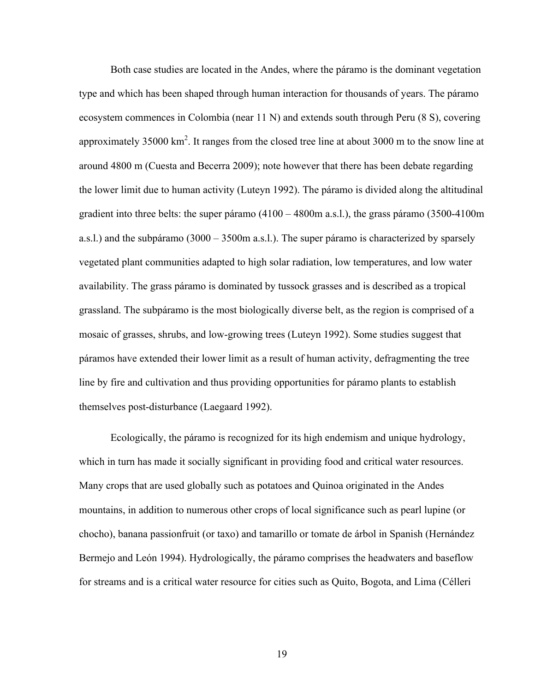Both case studies are located in the Andes, where the páramo is the dominant vegetation type and which has been shaped through human interaction for thousands of years. The páramo ecosystem commences in Colombia (near 11 N) and extends south through Peru (8 S), covering approximately 35000  $km^2$ . It ranges from the closed tree line at about 3000 m to the snow line at around 4800 m (Cuesta and Becerra 2009); note however that there has been debate regarding the lower limit due to human activity (Luteyn 1992). The páramo is divided along the altitudinal gradient into three belts: the super páramo (4100 – 4800m a.s.l.), the grass páramo (3500-4100m a.s.l.) and the subpáramo (3000 – 3500m a.s.l.). The super páramo is characterized by sparsely vegetated plant communities adapted to high solar radiation, low temperatures, and low water availability. The grass páramo is dominated by tussock grasses and is described as a tropical grassland. The subpáramo is the most biologically diverse belt, as the region is comprised of a mosaic of grasses, shrubs, and low-growing trees (Luteyn 1992). Some studies suggest that páramos have extended their lower limit as a result of human activity, defragmenting the tree line by fire and cultivation and thus providing opportunities for páramo plants to establish themselves post-disturbance (Laegaard 1992).

Ecologically, the páramo is recognized for its high endemism and unique hydrology, which in turn has made it socially significant in providing food and critical water resources. Many crops that are used globally such as potatoes and Quinoa originated in the Andes mountains, in addition to numerous other crops of local significance such as pearl lupine (or chocho), banana passionfruit (or taxo) and tamarillo or tomate de árbol in Spanish (Hernández Bermejo and León 1994). Hydrologically, the páramo comprises the headwaters and baseflow for streams and is a critical water resource for cities such as Quito, Bogota, and Lima (Célleri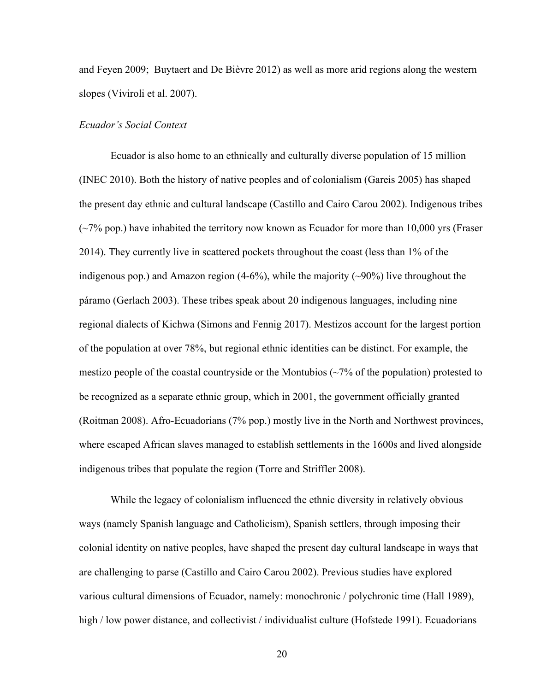and Feyen 2009; Buytaert and De Bièvre 2012) as well as more arid regions along the western slopes (Viviroli et al. 2007).

## *Ecuador's Social Context*

Ecuador is also home to an ethnically and culturally diverse population of 15 million (INEC 2010). Both the history of native peoples and of colonialism (Gareis 2005) has shaped the present day ethnic and cultural landscape (Castillo and Cairo Carou 2002). Indigenous tribes  $(\sim 7\%$  pop.) have inhabited the territory now known as Ecuador for more than 10,000 yrs (Fraser 2014). They currently live in scattered pockets throughout the coast (less than 1% of the indigenous pop.) and Amazon region  $(4-6%)$ , while the majority  $(\sim 90%)$  live throughout the páramo (Gerlach 2003). These tribes speak about 20 indigenous languages, including nine regional dialects of Kichwa (Simons and Fennig 2017). Mestizos account for the largest portion of the population at over 78%, but regional ethnic identities can be distinct. For example, the mestizo people of the coastal countryside or the Montubios  $\left(\frac{2\%}{\%}\right)$  of the population) protested to be recognized as a separate ethnic group, which in 2001, the government officially granted (Roitman 2008). Afro-Ecuadorians (7% pop.) mostly live in the North and Northwest provinces, where escaped African slaves managed to establish settlements in the 1600s and lived alongside indigenous tribes that populate the region (Torre and Striffler 2008).

While the legacy of colonialism influenced the ethnic diversity in relatively obvious ways (namely Spanish language and Catholicism), Spanish settlers, through imposing their colonial identity on native peoples, have shaped the present day cultural landscape in ways that are challenging to parse (Castillo and Cairo Carou 2002). Previous studies have explored various cultural dimensions of Ecuador, namely: monochronic / polychronic time (Hall 1989), high / low power distance, and collectivist / individualist culture (Hofstede 1991). Ecuadorians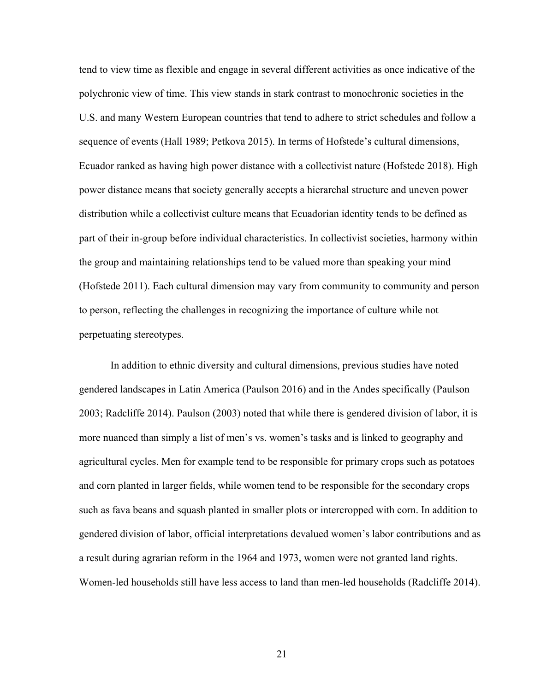tend to view time as flexible and engage in several different activities as once indicative of the polychronic view of time. This view stands in stark contrast to monochronic societies in the U.S. and many Western European countries that tend to adhere to strict schedules and follow a sequence of events (Hall 1989; Petkova 2015). In terms of Hofstede's cultural dimensions, Ecuador ranked as having high power distance with a collectivist nature (Hofstede 2018). High power distance means that society generally accepts a hierarchal structure and uneven power distribution while a collectivist culture means that Ecuadorian identity tends to be defined as part of their in-group before individual characteristics. In collectivist societies, harmony within the group and maintaining relationships tend to be valued more than speaking your mind (Hofstede 2011). Each cultural dimension may vary from community to community and person to person, reflecting the challenges in recognizing the importance of culture while not perpetuating stereotypes.

In addition to ethnic diversity and cultural dimensions, previous studies have noted gendered landscapes in Latin America (Paulson 2016) and in the Andes specifically (Paulson 2003; Radcliffe 2014). Paulson (2003) noted that while there is gendered division of labor, it is more nuanced than simply a list of men's vs. women's tasks and is linked to geography and agricultural cycles. Men for example tend to be responsible for primary crops such as potatoes and corn planted in larger fields, while women tend to be responsible for the secondary crops such as fava beans and squash planted in smaller plots or intercropped with corn. In addition to gendered division of labor, official interpretations devalued women's labor contributions and as a result during agrarian reform in the 1964 and 1973, women were not granted land rights. Women-led households still have less access to land than men-led households (Radcliffe 2014).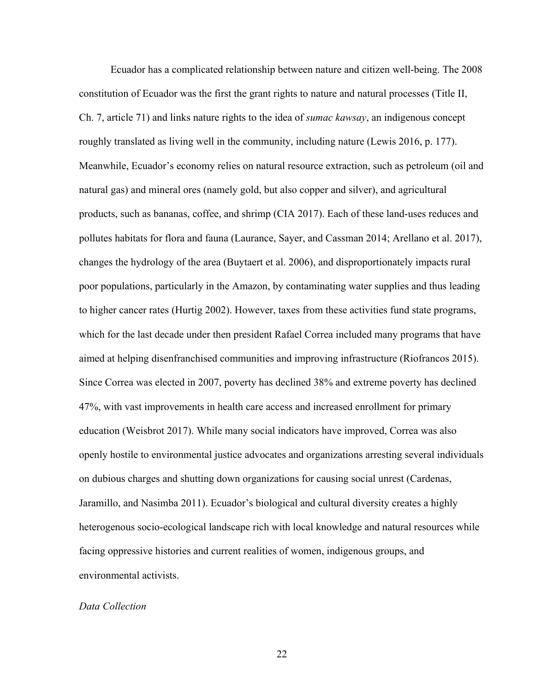Ecuador has a complicated relationship between nature and citizen well-being. The 2008 constitution of Ecuador was the first the grant rights to nature and natural processes (Title II, Ch. 7, article 71) and links nature rights to the idea of *sumac kawsay*, an indigenous concept roughly translated as living well in the community, including nature (Lewis 2016, p. 177). Meanwhile, Ecuador's economy relies on natural resource extraction, such as petroleum (oil and natural gas) and mineral ores (namely gold, but also copper and silver), and agricultural products, such as bananas, coffee, and shrimp (CIA 2017). Each of these land-uses reduces and pollutes habitats for flora and fauna (Laurance, Sayer, and Cassman 2014; Arellano et al. 2017), changes the hydrology of the area (Buytaert et al. 2006), and disproportionately impacts rural poor populations, particularly in the Amazon, by contaminating water supplies and thus leading to higher cancer rates (Hurtig 2002). However, taxes from these activities fund state programs, which for the last decade under then president Rafael Correa included many programs that have aimed at helping disenfranchised communities and improving infrastructure (Riofrancos 2015). Since Correa was elected in 2007, poverty has declined 38% and extreme poverty has declined 47%, with vast improvements in health care access and increased enrollment for primary education (Weisbrot 2017). While many social indicators have improved, Correa was also openly hostile to environmental justice advocates and organizations arresting several individuals on dubious charges and shutting down organizations for causing social unrest (Cardenas, Jaramillo, and Nasimba 2011). Ecuador's biological and cultural diversity creates a highly heterogenous socio-ecological landscape rich with local knowledge and natural resources while facing oppressive histories and current realities of women, indigenous groups, and environmental activists.

#### *Data Collection*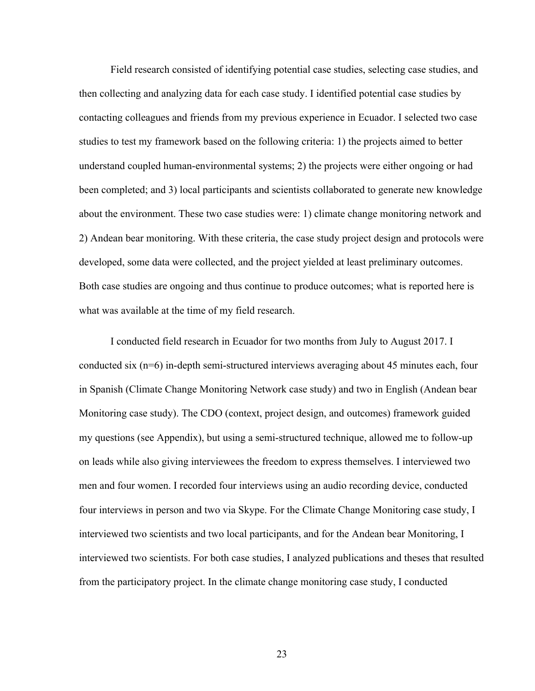Field research consisted of identifying potential case studies, selecting case studies, and then collecting and analyzing data for each case study. I identified potential case studies by contacting colleagues and friends from my previous experience in Ecuador. I selected two case studies to test my framework based on the following criteria: 1) the projects aimed to better understand coupled human-environmental systems; 2) the projects were either ongoing or had been completed; and 3) local participants and scientists collaborated to generate new knowledge about the environment. These two case studies were: 1) climate change monitoring network and 2) Andean bear monitoring. With these criteria, the case study project design and protocols were developed, some data were collected, and the project yielded at least preliminary outcomes. Both case studies are ongoing and thus continue to produce outcomes; what is reported here is what was available at the time of my field research.

I conducted field research in Ecuador for two months from July to August 2017. I conducted six (n=6) in-depth semi-structured interviews averaging about 45 minutes each, four in Spanish (Climate Change Monitoring Network case study) and two in English (Andean bear Monitoring case study). The CDO (context, project design, and outcomes) framework guided my questions (see Appendix), but using a semi-structured technique, allowed me to follow-up on leads while also giving interviewees the freedom to express themselves. I interviewed two men and four women. I recorded four interviews using an audio recording device, conducted four interviews in person and two via Skype. For the Climate Change Monitoring case study, I interviewed two scientists and two local participants, and for the Andean bear Monitoring, I interviewed two scientists. For both case studies, I analyzed publications and theses that resulted from the participatory project. In the climate change monitoring case study, I conducted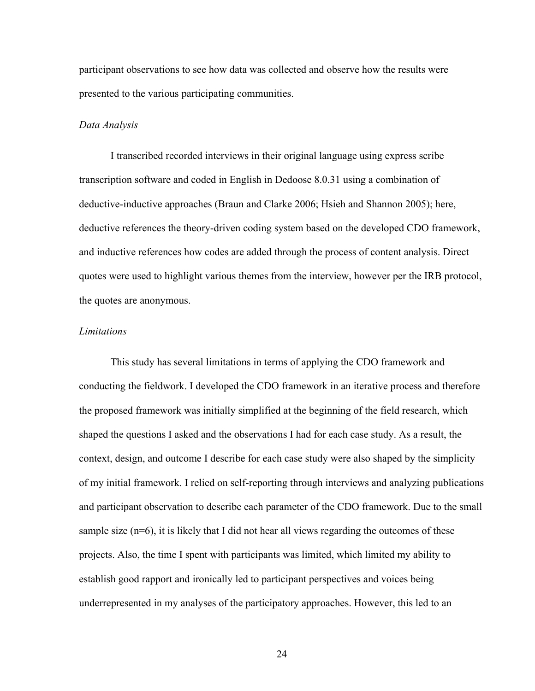participant observations to see how data was collected and observe how the results were presented to the various participating communities.

#### *Data Analysis*

I transcribed recorded interviews in their original language using express scribe transcription software and coded in English in Dedoose 8.0.31 using a combination of deductive-inductive approaches (Braun and Clarke 2006; Hsieh and Shannon 2005); here, deductive references the theory-driven coding system based on the developed CDO framework, and inductive references how codes are added through the process of content analysis. Direct quotes were used to highlight various themes from the interview, however per the IRB protocol, the quotes are anonymous.

# *Limitations*

This study has several limitations in terms of applying the CDO framework and conducting the fieldwork. I developed the CDO framework in an iterative process and therefore the proposed framework was initially simplified at the beginning of the field research, which shaped the questions I asked and the observations I had for each case study. As a result, the context, design, and outcome I describe for each case study were also shaped by the simplicity of my initial framework. I relied on self-reporting through interviews and analyzing publications and participant observation to describe each parameter of the CDO framework. Due to the small sample size (n=6), it is likely that I did not hear all views regarding the outcomes of these projects. Also, the time I spent with participants was limited, which limited my ability to establish good rapport and ironically led to participant perspectives and voices being underrepresented in my analyses of the participatory approaches. However, this led to an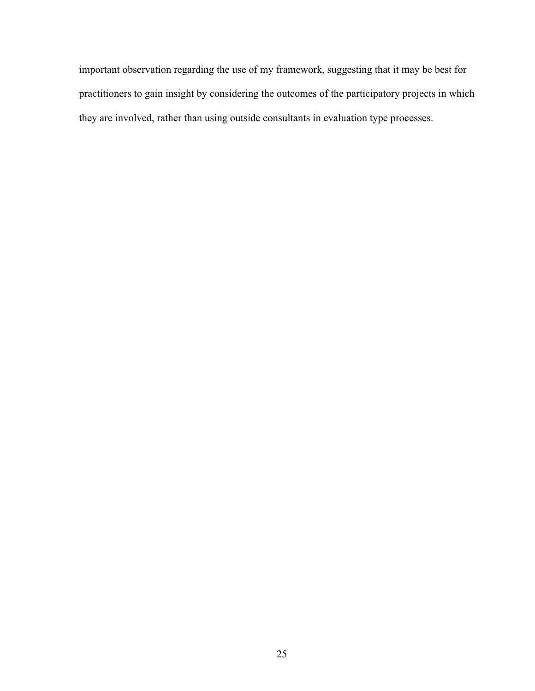important observation regarding the use of my framework, suggesting that it may be best for practitioners to gain insight by considering the outcomes of the participatory projects in which they are involved, rather than using outside consultants in evaluation type processes.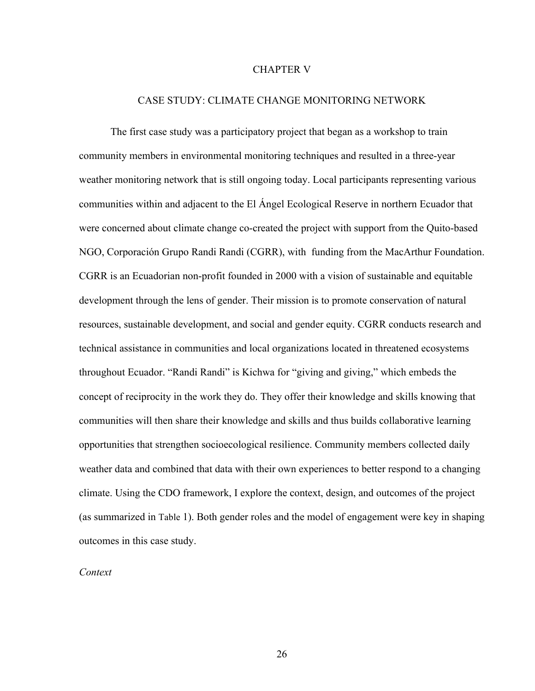#### CHAPTER V

# CASE STUDY: CLIMATE CHANGE MONITORING NETWORK

The first case study was a participatory project that began as a workshop to train community members in environmental monitoring techniques and resulted in a three-year weather monitoring network that is still ongoing today. Local participants representing various communities within and adjacent to the El Ángel Ecological Reserve in northern Ecuador that were concerned about climate change co-created the project with support from the Quito-based NGO, Corporación Grupo Randi Randi (CGRR), with funding from the MacArthur Foundation. CGRR is an Ecuadorian non-profit founded in 2000 with a vision of sustainable and equitable development through the lens of gender. Their mission is to promote conservation of natural resources, sustainable development, and social and gender equity. CGRR conducts research and technical assistance in communities and local organizations located in threatened ecosystems throughout Ecuador. "Randi Randi" is Kichwa for "giving and giving," which embeds the concept of reciprocity in the work they do. They offer their knowledge and skills knowing that communities will then share their knowledge and skills and thus builds collaborative learning opportunities that strengthen socioecological resilience. Community members collected daily weather data and combined that data with their own experiences to better respond to a changing climate. Using the CDO framework, I explore the context, design, and outcomes of the project (as summarized in Table 1). Both gender roles and the model of engagement were key in shaping outcomes in this case study.

### *Context*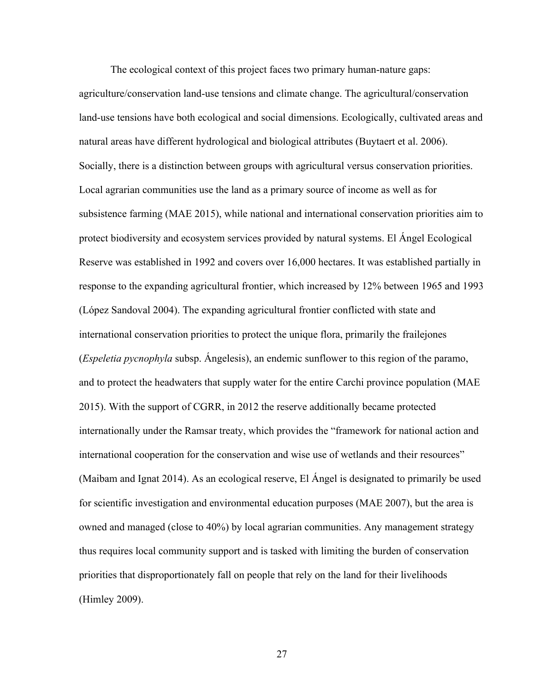The ecological context of this project faces two primary human-nature gaps: agriculture/conservation land-use tensions and climate change. The agricultural/conservation land-use tensions have both ecological and social dimensions. Ecologically, cultivated areas and natural areas have different hydrological and biological attributes (Buytaert et al. 2006). Socially, there is a distinction between groups with agricultural versus conservation priorities. Local agrarian communities use the land as a primary source of income as well as for subsistence farming (MAE 2015), while national and international conservation priorities aim to protect biodiversity and ecosystem services provided by natural systems. El Ángel Ecological Reserve was established in 1992 and covers over 16,000 hectares. It was established partially in response to the expanding agricultural frontier, which increased by 12% between 1965 and 1993 (López Sandoval 2004). The expanding agricultural frontier conflicted with state and international conservation priorities to protect the unique flora, primarily the frailejones (*Espeletia pycnophyla* subsp. Ángelesis), an endemic sunflower to this region of the paramo, and to protect the headwaters that supply water for the entire Carchi province population (MAE 2015). With the support of CGRR, in 2012 the reserve additionally became protected internationally under the Ramsar treaty, which provides the "framework for national action and international cooperation for the conservation and wise use of wetlands and their resources" (Maibam and Ignat 2014). As an ecological reserve, El Ángel is designated to primarily be used for scientific investigation and environmental education purposes (MAE 2007), but the area is owned and managed (close to 40%) by local agrarian communities. Any management strategy thus requires local community support and is tasked with limiting the burden of conservation priorities that disproportionately fall on people that rely on the land for their livelihoods (Himley 2009).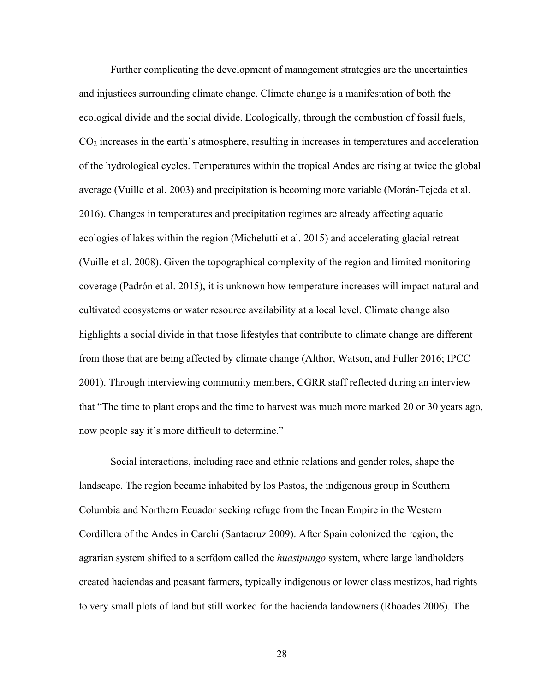Further complicating the development of management strategies are the uncertainties and injustices surrounding climate change. Climate change is a manifestation of both the ecological divide and the social divide. Ecologically, through the combustion of fossil fuels,  $CO<sub>2</sub>$  increases in the earth's atmosphere, resulting in increases in temperatures and acceleration of the hydrological cycles. Temperatures within the tropical Andes are rising at twice the global average (Vuille et al. 2003) and precipitation is becoming more variable (Morán-Tejeda et al. 2016). Changes in temperatures and precipitation regimes are already affecting aquatic ecologies of lakes within the region (Michelutti et al. 2015) and accelerating glacial retreat (Vuille et al. 2008). Given the topographical complexity of the region and limited monitoring coverage (Padrón et al. 2015), it is unknown how temperature increases will impact natural and cultivated ecosystems or water resource availability at a local level. Climate change also highlights a social divide in that those lifestyles that contribute to climate change are different from those that are being affected by climate change (Althor, Watson, and Fuller 2016; IPCC 2001). Through interviewing community members, CGRR staff reflected during an interview that "The time to plant crops and the time to harvest was much more marked 20 or 30 years ago, now people say it's more difficult to determine."

Social interactions, including race and ethnic relations and gender roles, shape the landscape. The region became inhabited by los Pastos, the indigenous group in Southern Columbia and Northern Ecuador seeking refuge from the Incan Empire in the Western Cordillera of the Andes in Carchi (Santacruz 2009). After Spain colonized the region, the agrarian system shifted to a serfdom called the *huasipungo* system, where large landholders created haciendas and peasant farmers, typically indigenous or lower class mestizos, had rights to very small plots of land but still worked for the hacienda landowners (Rhoades 2006). The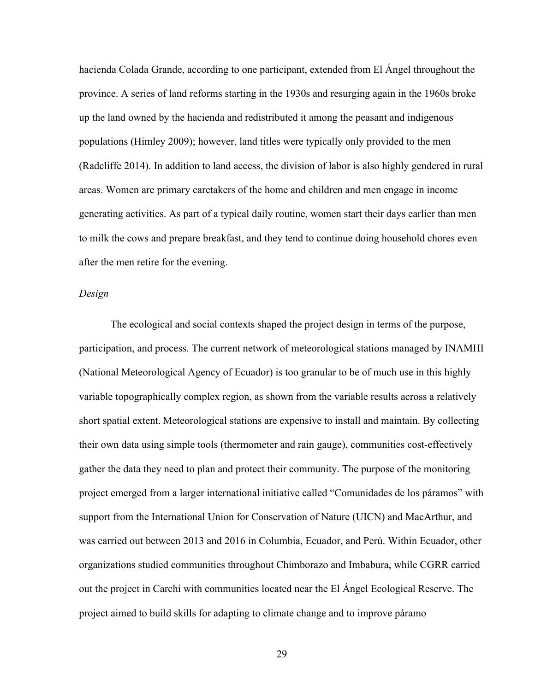hacienda Colada Grande, according to one participant, extended from El Ángel throughout the province. A series of land reforms starting in the 1930s and resurging again in the 1960s broke up the land owned by the hacienda and redistributed it among the peasant and indigenous populations (Himley 2009); however, land titles were typically only provided to the men (Radcliffe 2014). In addition to land access, the division of labor is also highly gendered in rural areas. Women are primary caretakers of the home and children and men engage in income generating activities. As part of a typical daily routine, women start their days earlier than men to milk the cows and prepare breakfast, and they tend to continue doing household chores even after the men retire for the evening.

### *Design*

The ecological and social contexts shaped the project design in terms of the purpose, participation, and process. The current network of meteorological stations managed by INAMHI (National Meteorological Agency of Ecuador) is too granular to be of much use in this highly variable topographically complex region, as shown from the variable results across a relatively short spatial extent. Meteorological stations are expensive to install and maintain. By collecting their own data using simple tools (thermometer and rain gauge), communities cost-effectively gather the data they need to plan and protect their community. The purpose of the monitoring project emerged from a larger international initiative called "Comunidades de los páramos" with support from the International Union for Conservation of Nature (UICN) and MacArthur, and was carried out between 2013 and 2016 in Columbia, Ecuador, and Perú. Within Ecuador, other organizations studied communities throughout Chimborazo and Imbabura, while CGRR carried out the project in Carchi with communities located near the El Ángel Ecological Reserve. The project aimed to build skills for adapting to climate change and to improve páramo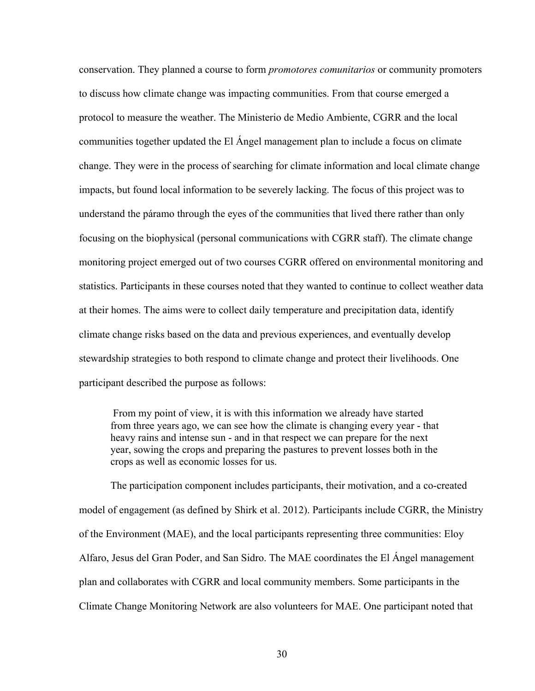conservation. They planned a course to form *promotores comunitarios* or community promoters to discuss how climate change was impacting communities. From that course emerged a protocol to measure the weather. The Ministerio de Medio Ambiente, CGRR and the local communities together updated the El Ángel management plan to include a focus on climate change. They were in the process of searching for climate information and local climate change impacts, but found local information to be severely lacking. The focus of this project was to understand the páramo through the eyes of the communities that lived there rather than only focusing on the biophysical (personal communications with CGRR staff). The climate change monitoring project emerged out of two courses CGRR offered on environmental monitoring and statistics. Participants in these courses noted that they wanted to continue to collect weather data at their homes. The aims were to collect daily temperature and precipitation data, identify climate change risks based on the data and previous experiences, and eventually develop stewardship strategies to both respond to climate change and protect their livelihoods. One participant described the purpose as follows:

From my point of view, it is with this information we already have started from three years ago, we can see how the climate is changing every year - that heavy rains and intense sun - and in that respect we can prepare for the next year, sowing the crops and preparing the pastures to prevent losses both in the crops as well as economic losses for us.

The participation component includes participants, their motivation, and a co-created model of engagement (as defined by Shirk et al. 2012). Participants include CGRR, the Ministry of the Environment (MAE), and the local participants representing three communities: Eloy Alfaro, Jesus del Gran Poder, and San Sidro. The MAE coordinates the El Ángel management plan and collaborates with CGRR and local community members. Some participants in the Climate Change Monitoring Network are also volunteers for MAE. One participant noted that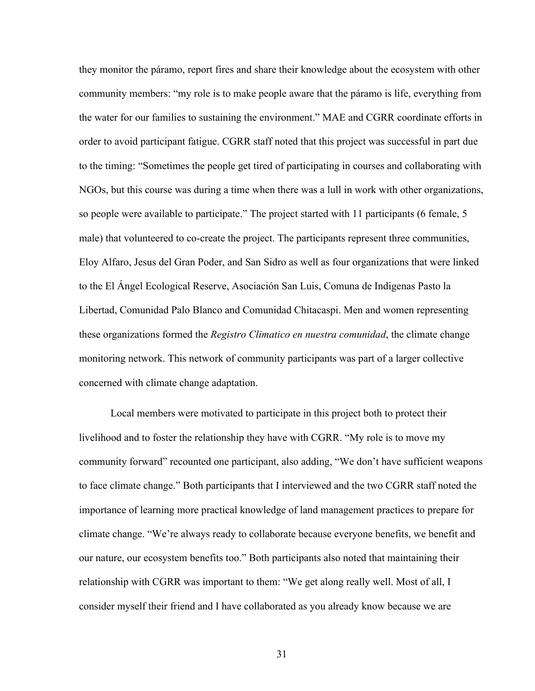they monitor the páramo, report fires and share their knowledge about the ecosystem with other community members: "my role is to make people aware that the páramo is life, everything from the water for our families to sustaining the environment." MAE and CGRR coordinate efforts in order to avoid participant fatigue. CGRR staff noted that this project was successful in part due to the timing: "Sometimes the people get tired of participating in courses and collaborating with NGOs, but this course was during a time when there was a lull in work with other organizations, so people were available to participate." The project started with 11 participants (6 female, 5 male) that volunteered to co-create the project. The participants represent three communities, Eloy Alfaro, Jesus del Gran Poder, and San Sidro as well as four organizations that were linked to the El Ángel Ecological Reserve, Asociación San Luis, Comuna de Indigenas Pasto la Libertad, Comunidad Palo Blanco and Comunidad Chitacaspi. Men and women representing these organizations formed the *Registro Climatico en nuestra comunidad*, the climate change monitoring network. This network of community participants was part of a larger collective concerned with climate change adaptation.

Local members were motivated to participate in this project both to protect their livelihood and to foster the relationship they have with CGRR. "My role is to move my community forward" recounted one participant, also adding, "We don't have sufficient weapons to face climate change." Both participants that I interviewed and the two CGRR staff noted the importance of learning more practical knowledge of land management practices to prepare for climate change. "We're always ready to collaborate because everyone benefits, we benefit and our nature, our ecosystem benefits too." Both participants also noted that maintaining their relationship with CGRR was important to them: "We get along really well. Most of all, I consider myself their friend and I have collaborated as you already know because we are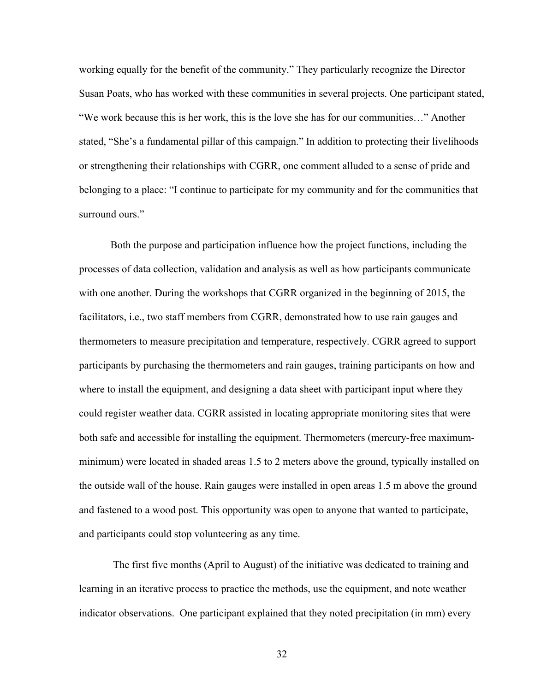working equally for the benefit of the community." They particularly recognize the Director Susan Poats, who has worked with these communities in several projects. One participant stated, "We work because this is her work, this is the love she has for our communities…" Another stated, "She's a fundamental pillar of this campaign." In addition to protecting their livelihoods or strengthening their relationships with CGRR, one comment alluded to a sense of pride and belonging to a place: "I continue to participate for my community and for the communities that surround ours."

Both the purpose and participation influence how the project functions, including the processes of data collection, validation and analysis as well as how participants communicate with one another. During the workshops that CGRR organized in the beginning of 2015, the facilitators, i.e., two staff members from CGRR, demonstrated how to use rain gauges and thermometers to measure precipitation and temperature, respectively. CGRR agreed to support participants by purchasing the thermometers and rain gauges, training participants on how and where to install the equipment, and designing a data sheet with participant input where they could register weather data. CGRR assisted in locating appropriate monitoring sites that were both safe and accessible for installing the equipment. Thermometers (mercury-free maximumminimum) were located in shaded areas 1.5 to 2 meters above the ground, typically installed on the outside wall of the house. Rain gauges were installed in open areas 1.5 m above the ground and fastened to a wood post. This opportunity was open to anyone that wanted to participate, and participants could stop volunteering as any time.

The first five months (April to August) of the initiative was dedicated to training and learning in an iterative process to practice the methods, use the equipment, and note weather indicator observations. One participant explained that they noted precipitation (in mm) every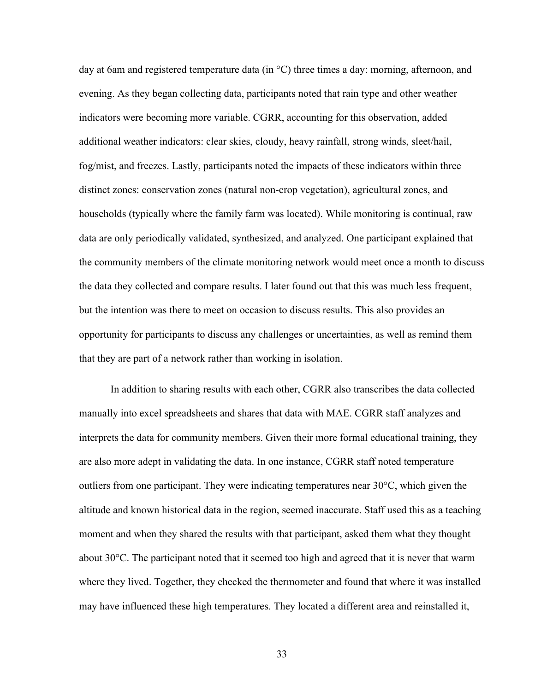day at 6am and registered temperature data (in °C) three times a day: morning, afternoon, and evening. As they began collecting data, participants noted that rain type and other weather indicators were becoming more variable. CGRR, accounting for this observation, added additional weather indicators: clear skies, cloudy, heavy rainfall, strong winds, sleet/hail, fog/mist, and freezes. Lastly, participants noted the impacts of these indicators within three distinct zones: conservation zones (natural non-crop vegetation), agricultural zones, and households (typically where the family farm was located). While monitoring is continual, raw data are only periodically validated, synthesized, and analyzed. One participant explained that the community members of the climate monitoring network would meet once a month to discuss the data they collected and compare results. I later found out that this was much less frequent, but the intention was there to meet on occasion to discuss results. This also provides an opportunity for participants to discuss any challenges or uncertainties, as well as remind them that they are part of a network rather than working in isolation.

In addition to sharing results with each other, CGRR also transcribes the data collected manually into excel spreadsheets and shares that data with MAE. CGRR staff analyzes and interprets the data for community members. Given their more formal educational training, they are also more adept in validating the data. In one instance, CGRR staff noted temperature outliers from one participant. They were indicating temperatures near 30°C, which given the altitude and known historical data in the region, seemed inaccurate. Staff used this as a teaching moment and when they shared the results with that participant, asked them what they thought about 30°C. The participant noted that it seemed too high and agreed that it is never that warm where they lived. Together, they checked the thermometer and found that where it was installed may have influenced these high temperatures. They located a different area and reinstalled it,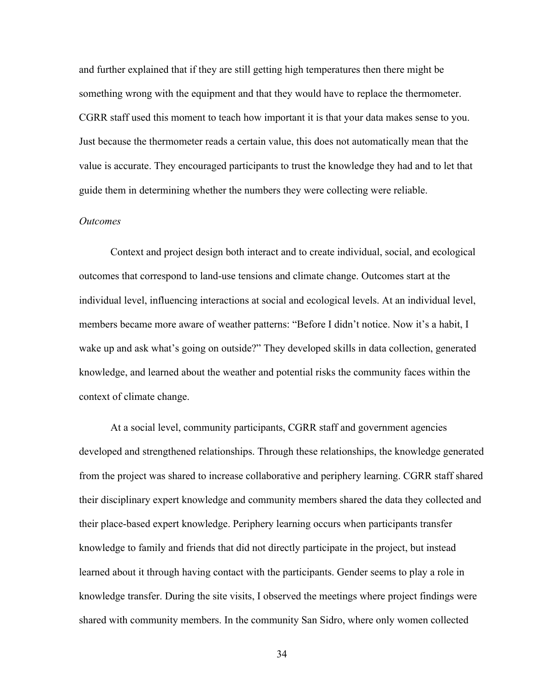and further explained that if they are still getting high temperatures then there might be something wrong with the equipment and that they would have to replace the thermometer. CGRR staff used this moment to teach how important it is that your data makes sense to you. Just because the thermometer reads a certain value, this does not automatically mean that the value is accurate. They encouraged participants to trust the knowledge they had and to let that guide them in determining whether the numbers they were collecting were reliable.

### *Outcomes*

Context and project design both interact and to create individual, social, and ecological outcomes that correspond to land-use tensions and climate change. Outcomes start at the individual level, influencing interactions at social and ecological levels. At an individual level, members became more aware of weather patterns: "Before I didn't notice. Now it's a habit, I wake up and ask what's going on outside?" They developed skills in data collection, generated knowledge, and learned about the weather and potential risks the community faces within the context of climate change.

At a social level, community participants, CGRR staff and government agencies developed and strengthened relationships. Through these relationships, the knowledge generated from the project was shared to increase collaborative and periphery learning. CGRR staff shared their disciplinary expert knowledge and community members shared the data they collected and their place-based expert knowledge. Periphery learning occurs when participants transfer knowledge to family and friends that did not directly participate in the project, but instead learned about it through having contact with the participants. Gender seems to play a role in knowledge transfer. During the site visits, I observed the meetings where project findings were shared with community members. In the community San Sidro, where only women collected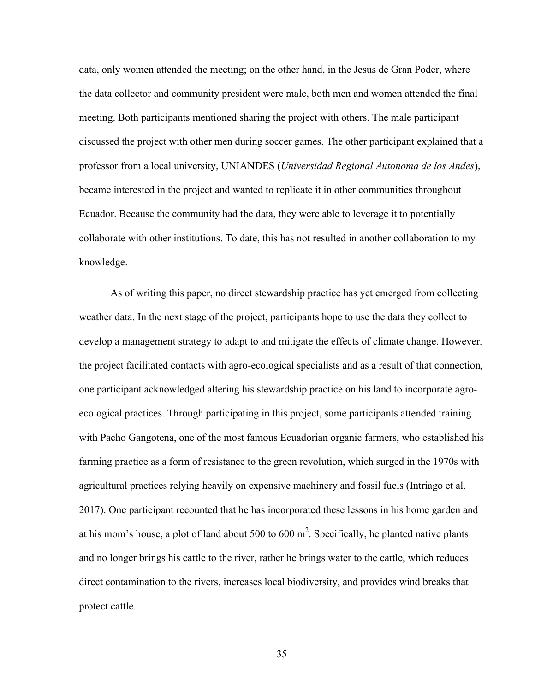data, only women attended the meeting; on the other hand, in the Jesus de Gran Poder, where the data collector and community president were male, both men and women attended the final meeting. Both participants mentioned sharing the project with others. The male participant discussed the project with other men during soccer games. The other participant explained that a professor from a local university, UNIANDES (*Universidad Regional Autonoma de los Andes*), became interested in the project and wanted to replicate it in other communities throughout Ecuador. Because the community had the data, they were able to leverage it to potentially collaborate with other institutions. To date, this has not resulted in another collaboration to my knowledge.

As of writing this paper, no direct stewardship practice has yet emerged from collecting weather data. In the next stage of the project, participants hope to use the data they collect to develop a management strategy to adapt to and mitigate the effects of climate change. However, the project facilitated contacts with agro-ecological specialists and as a result of that connection, one participant acknowledged altering his stewardship practice on his land to incorporate agroecological practices. Through participating in this project, some participants attended training with Pacho Gangotena, one of the most famous Ecuadorian organic farmers, who established his farming practice as a form of resistance to the green revolution, which surged in the 1970s with agricultural practices relying heavily on expensive machinery and fossil fuels (Intriago et al. 2017). One participant recounted that he has incorporated these lessons in his home garden and at his mom's house, a plot of land about 500 to 600  $m^2$ . Specifically, he planted native plants and no longer brings his cattle to the river, rather he brings water to the cattle, which reduces direct contamination to the rivers, increases local biodiversity, and provides wind breaks that protect cattle.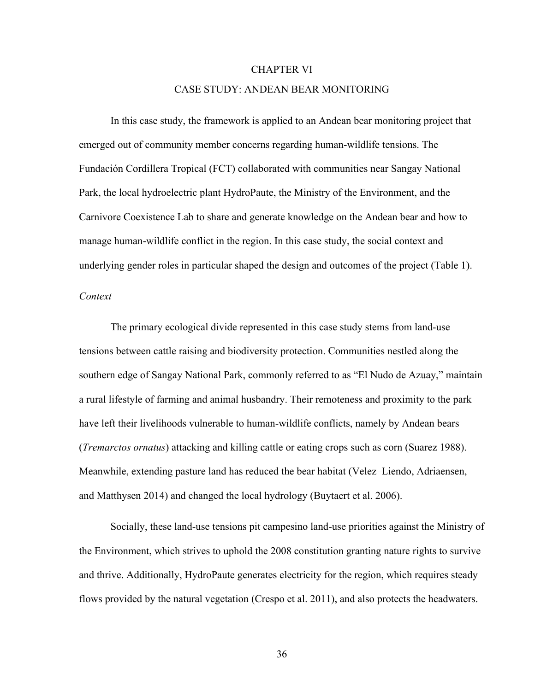#### CHAPTER VI

#### CASE STUDY: ANDEAN BEAR MONITORING

In this case study, the framework is applied to an Andean bear monitoring project that emerged out of community member concerns regarding human-wildlife tensions. The Fundación Cordillera Tropical (FCT) collaborated with communities near Sangay National Park, the local hydroelectric plant HydroPaute, the Ministry of the Environment, and the Carnivore Coexistence Lab to share and generate knowledge on the Andean bear and how to manage human-wildlife conflict in the region. In this case study, the social context and underlying gender roles in particular shaped the design and outcomes of the project (Table 1).

### *Context*

The primary ecological divide represented in this case study stems from land-use tensions between cattle raising and biodiversity protection. Communities nestled along the southern edge of Sangay National Park, commonly referred to as "El Nudo de Azuay," maintain a rural lifestyle of farming and animal husbandry. Their remoteness and proximity to the park have left their livelihoods vulnerable to human-wildlife conflicts, namely by Andean bears (*Tremarctos ornatus*) attacking and killing cattle or eating crops such as corn (Suarez 1988). Meanwhile, extending pasture land has reduced the bear habitat (Velez–Liendo, Adriaensen, and Matthysen 2014) and changed the local hydrology (Buytaert et al. 2006).

Socially, these land-use tensions pit campesino land-use priorities against the Ministry of the Environment, which strives to uphold the 2008 constitution granting nature rights to survive and thrive. Additionally, HydroPaute generates electricity for the region, which requires steady flows provided by the natural vegetation (Crespo et al. 2011), and also protects the headwaters.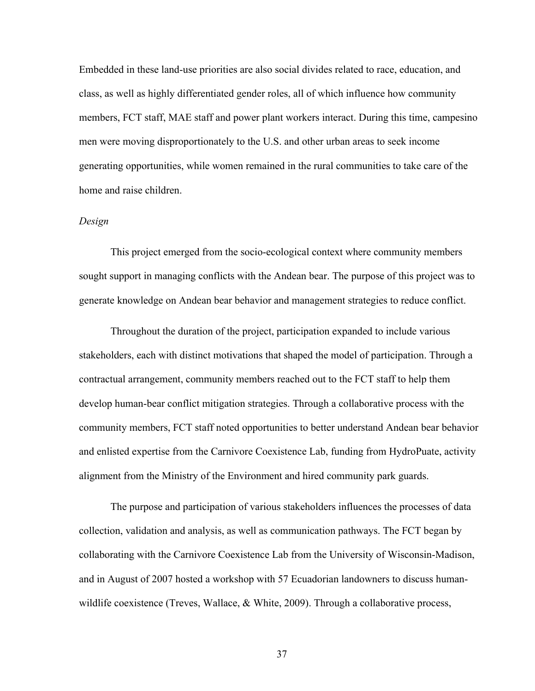Embedded in these land-use priorities are also social divides related to race, education, and class, as well as highly differentiated gender roles, all of which influence how community members, FCT staff, MAE staff and power plant workers interact. During this time, campesino men were moving disproportionately to the U.S. and other urban areas to seek income generating opportunities, while women remained in the rural communities to take care of the home and raise children.

## *Design*

This project emerged from the socio-ecological context where community members sought support in managing conflicts with the Andean bear. The purpose of this project was to generate knowledge on Andean bear behavior and management strategies to reduce conflict.

Throughout the duration of the project, participation expanded to include various stakeholders, each with distinct motivations that shaped the model of participation. Through a contractual arrangement, community members reached out to the FCT staff to help them develop human-bear conflict mitigation strategies. Through a collaborative process with the community members, FCT staff noted opportunities to better understand Andean bear behavior and enlisted expertise from the Carnivore Coexistence Lab, funding from HydroPuate, activity alignment from the Ministry of the Environment and hired community park guards.

The purpose and participation of various stakeholders influences the processes of data collection, validation and analysis, as well as communication pathways. The FCT began by collaborating with the Carnivore Coexistence Lab from the University of Wisconsin-Madison, and in August of 2007 hosted a workshop with 57 Ecuadorian landowners to discuss humanwildlife coexistence (Treves, Wallace, & White, 2009). Through a collaborative process,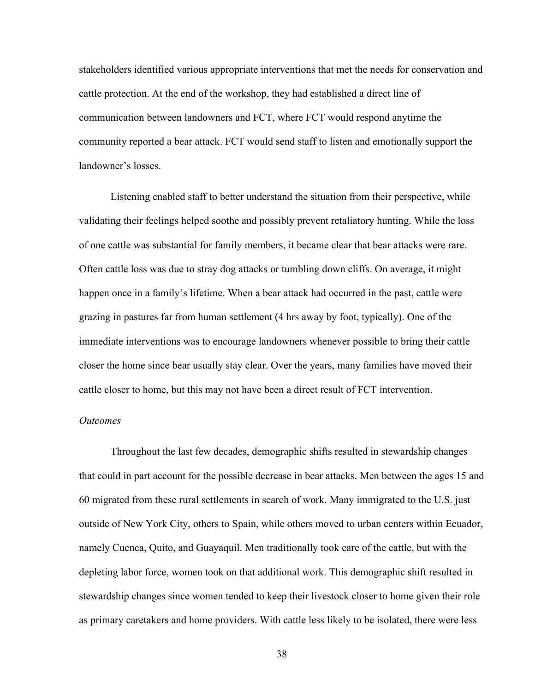stakeholders identified various appropriate interventions that met the needs for conservation and cattle protection. At the end of the workshop, they had established a direct line of communication between landowners and FCT, where FCT would respond anytime the community reported a bear attack. FCT would send staff to listen and emotionally support the landowner's losses.

Listening enabled staff to better understand the situation from their perspective, while validating their feelings helped soothe and possibly prevent retaliatory hunting. While the loss of one cattle was substantial for family members, it became clear that bear attacks were rare. Often cattle loss was due to stray dog attacks or tumbling down cliffs. On average, it might happen once in a family's lifetime. When a bear attack had occurred in the past, cattle were grazing in pastures far from human settlement (4 hrs away by foot, typically). One of the immediate interventions was to encourage landowners whenever possible to bring their cattle closer the home since bear usually stay clear. Over the years, many families have moved their cattle closer to home, but this may not have been a direct result of FCT intervention.

### *Outcomes*

Throughout the last few decades, demographic shifts resulted in stewardship changes that could in part account for the possible decrease in bear attacks. Men between the ages 15 and 60 migrated from these rural settlements in search of work. Many immigrated to the U.S. just outside of New York City, others to Spain, while others moved to urban centers within Ecuador, namely Cuenca, Quito, and Guayaquil. Men traditionally took care of the cattle, but with the depleting labor force, women took on that additional work. This demographic shift resulted in stewardship changes since women tended to keep their livestock closer to home given their role as primary caretakers and home providers. With cattle less likely to be isolated, there were less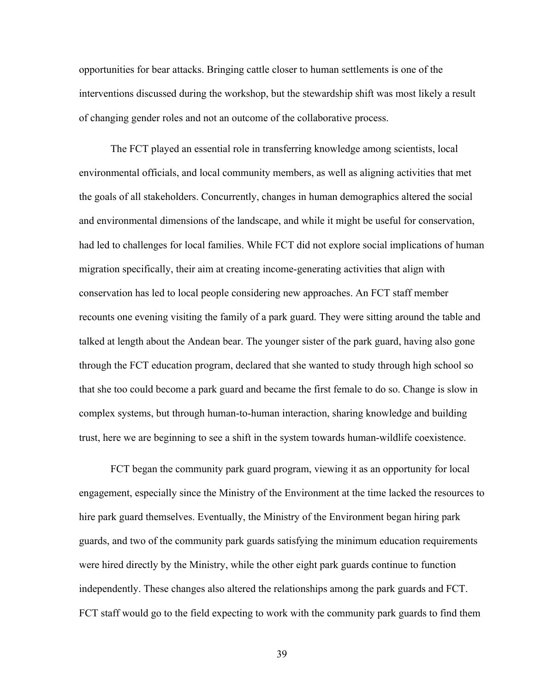opportunities for bear attacks. Bringing cattle closer to human settlements is one of the interventions discussed during the workshop, but the stewardship shift was most likely a result of changing gender roles and not an outcome of the collaborative process.

The FCT played an essential role in transferring knowledge among scientists, local environmental officials, and local community members, as well as aligning activities that met the goals of all stakeholders. Concurrently, changes in human demographics altered the social and environmental dimensions of the landscape, and while it might be useful for conservation, had led to challenges for local families. While FCT did not explore social implications of human migration specifically, their aim at creating income-generating activities that align with conservation has led to local people considering new approaches. An FCT staff member recounts one evening visiting the family of a park guard. They were sitting around the table and talked at length about the Andean bear. The younger sister of the park guard, having also gone through the FCT education program, declared that she wanted to study through high school so that she too could become a park guard and became the first female to do so. Change is slow in complex systems, but through human-to-human interaction, sharing knowledge and building trust, here we are beginning to see a shift in the system towards human-wildlife coexistence.

FCT began the community park guard program, viewing it as an opportunity for local engagement, especially since the Ministry of the Environment at the time lacked the resources to hire park guard themselves. Eventually, the Ministry of the Environment began hiring park guards, and two of the community park guards satisfying the minimum education requirements were hired directly by the Ministry, while the other eight park guards continue to function independently. These changes also altered the relationships among the park guards and FCT. FCT staff would go to the field expecting to work with the community park guards to find them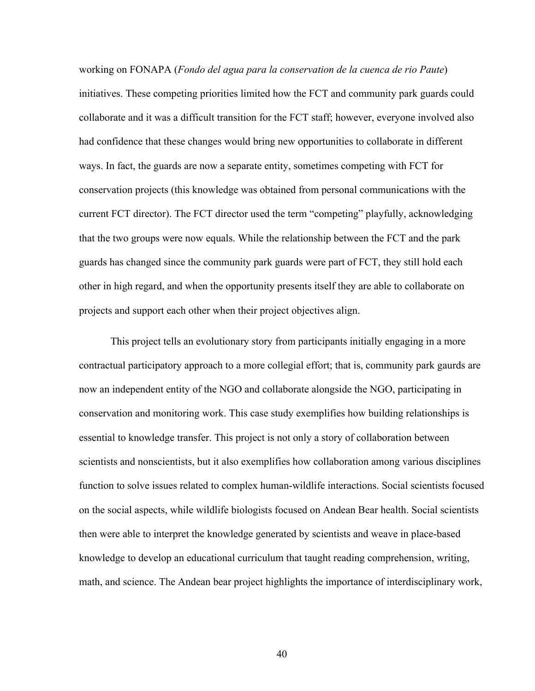working on FONAPA (*Fondo del agua para la conservation de la cuenca de rio Paute*) initiatives. These competing priorities limited how the FCT and community park guards could collaborate and it was a difficult transition for the FCT staff; however, everyone involved also had confidence that these changes would bring new opportunities to collaborate in different ways. In fact, the guards are now a separate entity, sometimes competing with FCT for conservation projects (this knowledge was obtained from personal communications with the current FCT director). The FCT director used the term "competing" playfully, acknowledging that the two groups were now equals. While the relationship between the FCT and the park guards has changed since the community park guards were part of FCT, they still hold each other in high regard, and when the opportunity presents itself they are able to collaborate on projects and support each other when their project objectives align.

This project tells an evolutionary story from participants initially engaging in a more contractual participatory approach to a more collegial effort; that is, community park gaurds are now an independent entity of the NGO and collaborate alongside the NGO, participating in conservation and monitoring work. This case study exemplifies how building relationships is essential to knowledge transfer. This project is not only a story of collaboration between scientists and nonscientists, but it also exemplifies how collaboration among various disciplines function to solve issues related to complex human-wildlife interactions. Social scientists focused on the social aspects, while wildlife biologists focused on Andean Bear health. Social scientists then were able to interpret the knowledge generated by scientists and weave in place-based knowledge to develop an educational curriculum that taught reading comprehension, writing, math, and science. The Andean bear project highlights the importance of interdisciplinary work,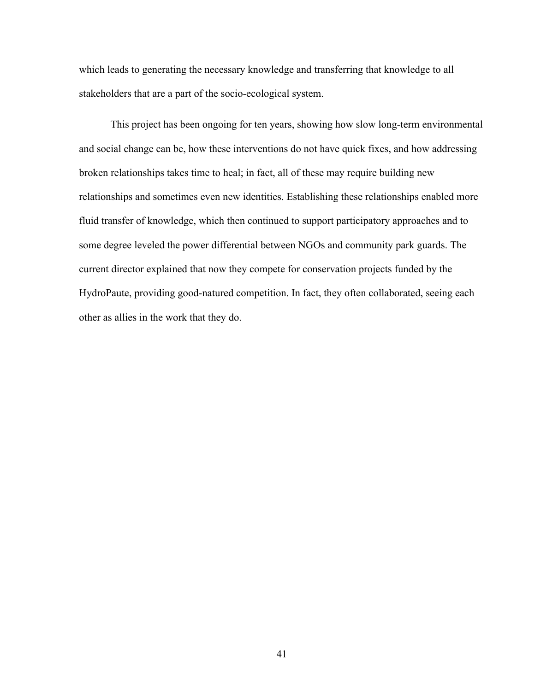which leads to generating the necessary knowledge and transferring that knowledge to all stakeholders that are a part of the socio-ecological system.

This project has been ongoing for ten years, showing how slow long-term environmental and social change can be, how these interventions do not have quick fixes, and how addressing broken relationships takes time to heal; in fact, all of these may require building new relationships and sometimes even new identities. Establishing these relationships enabled more fluid transfer of knowledge, which then continued to support participatory approaches and to some degree leveled the power differential between NGOs and community park guards. The current director explained that now they compete for conservation projects funded by the HydroPaute, providing good-natured competition. In fact, they often collaborated, seeing each other as allies in the work that they do.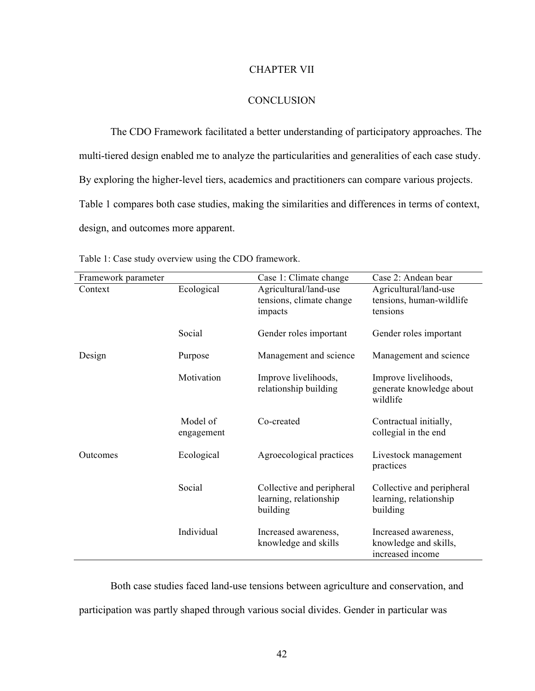### CHAPTER VII

## **CONCLUSION**

The CDO Framework facilitated a better understanding of participatory approaches. The multi-tiered design enabled me to analyze the particularities and generalities of each case study. By exploring the higher-level tiers, academics and practitioners can compare various projects. Table 1 compares both case studies, making the similarities and differences in terms of context, design, and outcomes more apparent.

| Framework parameter |                        | Case 1: Climate change                                          | Case 2: Andean bear                                               |
|---------------------|------------------------|-----------------------------------------------------------------|-------------------------------------------------------------------|
| Context             | Ecological             | Agricultural/land-use<br>tensions, climate change<br>impacts    | Agricultural/land-use<br>tensions, human-wildlife<br>tensions     |
|                     | Social                 | Gender roles important                                          | Gender roles important                                            |
| Design              | Purpose                | Management and science                                          | Management and science                                            |
|                     | Motivation             | Improve livelihoods,<br>relationship building                   | Improve livelihoods,<br>generate knowledge about<br>wildlife      |
|                     | Model of<br>engagement | Co-created                                                      | Contractual initially,<br>collegial in the end                    |
| Outcomes            | Ecological             | Agroecological practices                                        | Livestock management<br>practices                                 |
|                     | Social                 | Collective and peripheral<br>learning, relationship<br>building | Collective and peripheral<br>learning, relationship<br>building   |
|                     | Individual             | Increased awareness,<br>knowledge and skills                    | Increased awareness,<br>knowledge and skills,<br>increased income |

Table 1: Case study overview using the CDO framework.

Both case studies faced land-use tensions between agriculture and conservation, and participation was partly shaped through various social divides. Gender in particular was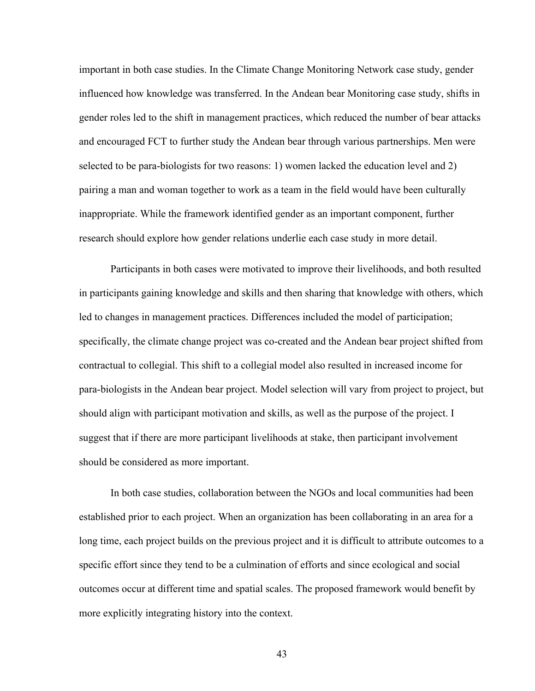important in both case studies. In the Climate Change Monitoring Network case study, gender influenced how knowledge was transferred. In the Andean bear Monitoring case study, shifts in gender roles led to the shift in management practices, which reduced the number of bear attacks and encouraged FCT to further study the Andean bear through various partnerships. Men were selected to be para-biologists for two reasons: 1) women lacked the education level and 2) pairing a man and woman together to work as a team in the field would have been culturally inappropriate. While the framework identified gender as an important component, further research should explore how gender relations underlie each case study in more detail.

Participants in both cases were motivated to improve their livelihoods, and both resulted in participants gaining knowledge and skills and then sharing that knowledge with others, which led to changes in management practices. Differences included the model of participation; specifically, the climate change project was co-created and the Andean bear project shifted from contractual to collegial. This shift to a collegial model also resulted in increased income for para-biologists in the Andean bear project. Model selection will vary from project to project, but should align with participant motivation and skills, as well as the purpose of the project. I suggest that if there are more participant livelihoods at stake, then participant involvement should be considered as more important.

In both case studies, collaboration between the NGOs and local communities had been established prior to each project. When an organization has been collaborating in an area for a long time, each project builds on the previous project and it is difficult to attribute outcomes to a specific effort since they tend to be a culmination of efforts and since ecological and social outcomes occur at different time and spatial scales. The proposed framework would benefit by more explicitly integrating history into the context.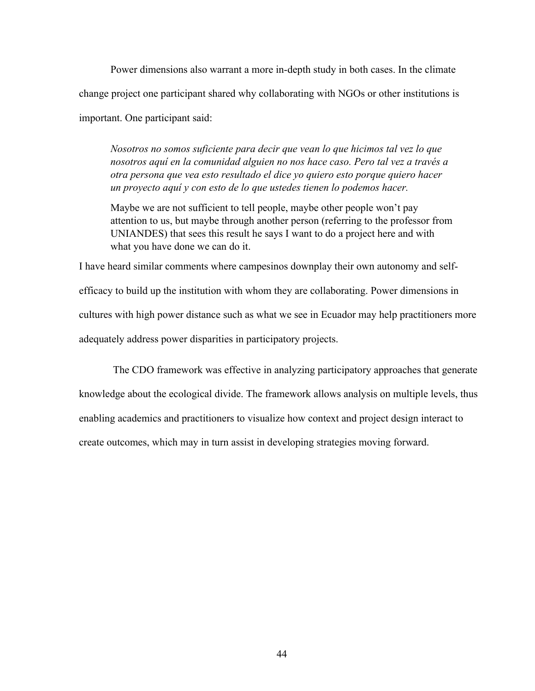Power dimensions also warrant a more in-depth study in both cases. In the climate change project one participant shared why collaborating with NGOs or other institutions is important. One participant said:

*Nosotros no somos suficiente para decir que vean lo que hicimos tal vez lo que nosotros aquí en la comunidad alguien no nos hace caso. Pero tal vez a través a otra persona que vea esto resultado el dice yo quiero esto porque quiero hacer un proyecto aquí y con esto de lo que ustedes tienen lo podemos hacer.* 

Maybe we are not sufficient to tell people, maybe other people won't pay attention to us, but maybe through another person (referring to the professor from UNIANDES) that sees this result he says I want to do a project here and with what you have done we can do it.

I have heard similar comments where campesinos downplay their own autonomy and selfefficacy to build up the institution with whom they are collaborating. Power dimensions in cultures with high power distance such as what we see in Ecuador may help practitioners more adequately address power disparities in participatory projects.

The CDO framework was effective in analyzing participatory approaches that generate knowledge about the ecological divide. The framework allows analysis on multiple levels, thus enabling academics and practitioners to visualize how context and project design interact to create outcomes, which may in turn assist in developing strategies moving forward.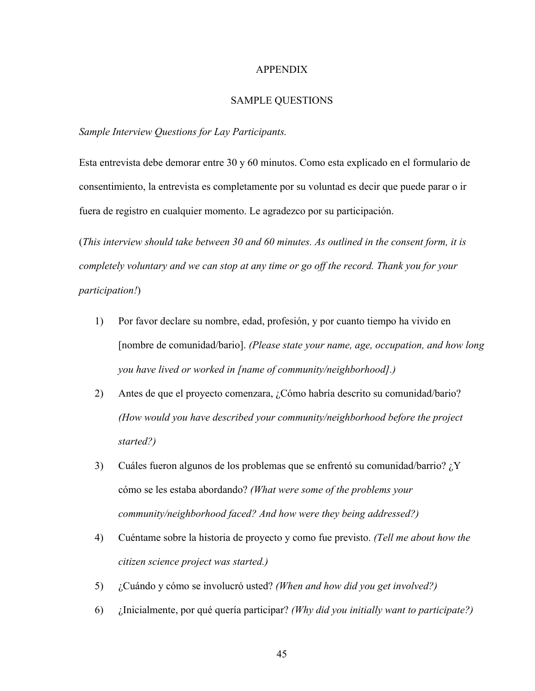#### APPENDIX

# SAMPLE QUESTIONS

### *Sample Interview Questions for Lay Participants.*

Esta entrevista debe demorar entre 30 y 60 minutos. Como esta explicado en el formulario de consentimiento, la entrevista es completamente por su voluntad es decir que puede parar o ir fuera de registro en cualquier momento. Le agradezco por su participación.

(*This interview should take between 30 and 60 minutes. As outlined in the consent form, it is completely voluntary and we can stop at any time or go off the record. Thank you for your participation!*)

- 1) Por favor declare su nombre, edad, profesión, y por cuanto tiempo ha vivido en [nombre de comunidad/bario]. *(Please state your name, age, occupation, and how long you have lived or worked in [name of community/neighborhood].)*
- 2) Antes de que el proyecto comenzara, ¿Cómo habría descrito su comunidad/bario? *(How would you have described your community/neighborhood before the project started?)*
- 3) Cuáles fueron algunos de los problemas que se enfrentó su comunidad/barrio? ¿Y cómo se les estaba abordando? *(What were some of the problems your community/neighborhood faced? And how were they being addressed?)*
- 4) Cuéntame sobre la historia de proyecto y como fue previsto. *(Tell me about how the citizen science project was started.)*
- 5) ¿Cuándo y cómo se involucró usted? *(When and how did you get involved?)*
- 6) ¿Inicialmente, por qué quería participar? *(Why did you initially want to participate?)*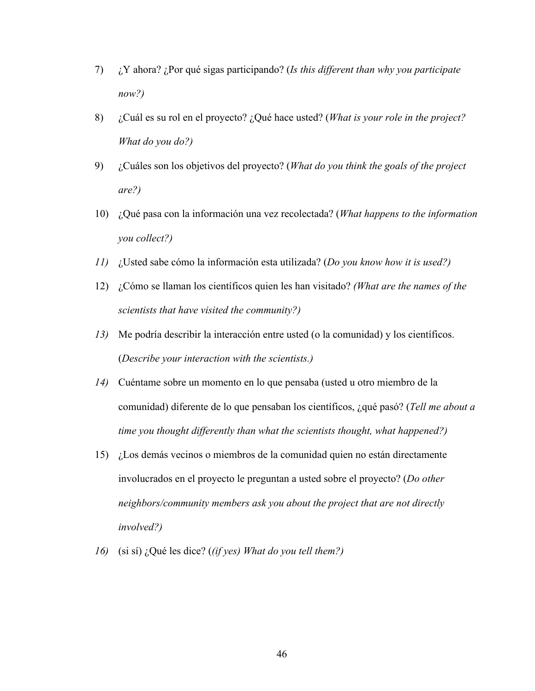- 7) ¿Y ahora? ¿Por qué sigas participando? (*Is this different than why you participate now?)*
- 8) ¿Cuál es su rol en el proyecto? ¿Qué hace usted? (*What is your role in the project? What do you do?)*
- 9) ¿Cuáles son los objetivos del proyecto? (*What do you think the goals of the project are?)*
- 10) ¿Qué pasa con la información una vez recolectada? (*What happens to the information you collect?)*
- *11)* ¿Usted sabe cómo la información esta utilizada? (*Do you know how it is used?)*
- 12) ¿Cómo se llaman los científicos quien les han visitado? *(What are the names of the scientists that have visited the community?)*
- *13)* Me podría describir la interacción entre usted (o la comunidad) y los científicos. (*Describe your interaction with the scientists.)*
- *14)* Cuéntame sobre un momento en lo que pensaba (usted u otro miembro de la comunidad) diferente de lo que pensaban los científicos, ¿qué pasó? (*Tell me about a time you thought differently than what the scientists thought, what happened?)*
- 15) ¿Los demás vecinos o miembros de la comunidad quien no están directamente involucrados en el proyecto le preguntan a usted sobre el proyecto? (*Do other neighbors/community members ask you about the project that are not directly involved?)*
- *16)* (si sí) ¿Qué les dice? (*(if yes) What do you tell them?)*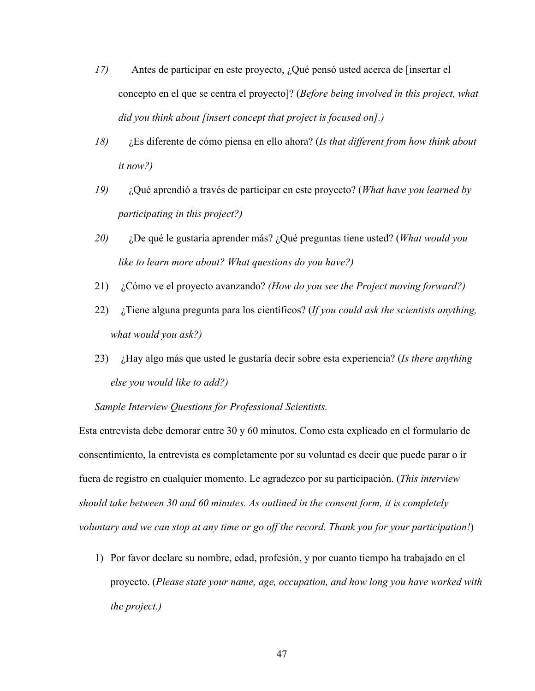- *17)* Antes de participar en este proyecto, ¿Qué pensó usted acerca de [insertar el concepto en el que se centra el proyecto]? (*Before being involved in this project, what did you think about [insert concept that project is focused on].)*
- *18)* ¿Es diferente de cómo piensa en ello ahora? (*Is that different from how think about it now?)*
- *19)* ¿Qué aprendió a través de participar en este proyecto? (*What have you learned by participating in this project?)*
- *20)* ¿De qué le gustaría aprender más? ¿Qué preguntas tiene usted? (*What would you like to learn more about? What questions do you have?)*
- 21) ¿Cómo ve el proyecto avanzando? *(How do you see the Project moving forward?)*
- 22) ¿Tiene alguna pregunta para los científicos? (*If you could ask the scientists anything, what would you ask?)*
- 23) ¿Hay algo más que usted le gustaría decir sobre esta experiencia? (*Is there anything else you would like to add?)*

*Sample Interview Questions for Professional Scientists.*

Esta entrevista debe demorar entre 30 y 60 minutos. Como esta explicado en el formulario de consentimiento, la entrevista es completamente por su voluntad es decir que puede parar o ir fuera de registro en cualquier momento. Le agradezco por su participación. (*This interview should take between 30 and 60 minutes. As outlined in the consent form, it is completely voluntary and we can stop at any time or go off the record. Thank you for your participation!*)

1) Por favor declare su nombre, edad, profesión, y por cuanto tiempo ha trabajado en el proyecto. (*Please state your name, age, occupation, and how long you have worked with the project.)*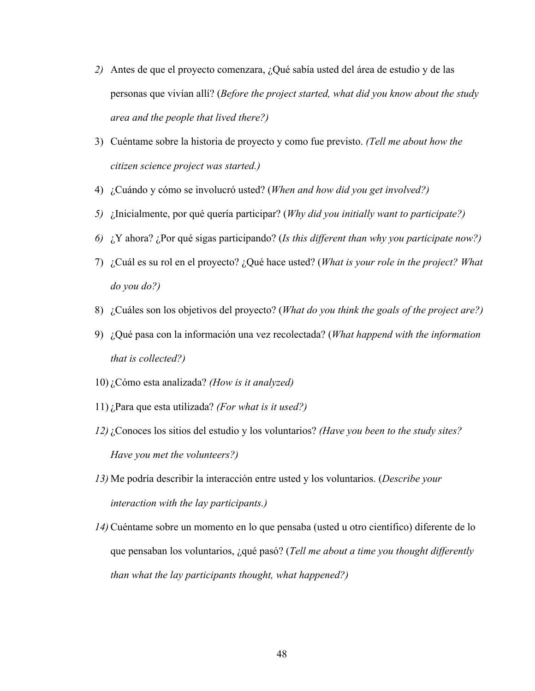- *2)* Antes de que el proyecto comenzara, ¿Qué sabía usted del área de estudio y de las personas que vivían allí? (*Before the project started, what did you know about the study area and the people that lived there?)*
- 3) Cuéntame sobre la historia de proyecto y como fue previsto. *(Tell me about how the citizen science project was started.)*
- 4) ¿Cuándo y cómo se involucró usted? (*When and how did you get involved?)*
- *5)* ¿Inicialmente, por qué quería participar? (*Why did you initially want to participate?)*
- *6)* ¿Y ahora? ¿Por qué sigas participando? (*Is this different than why you participate now?)*
- 7) ¿Cuál es su rol en el proyecto? ¿Qué hace usted? (*What is your role in the project? What do you do?)*
- 8) ¿Cuáles son los objetivos del proyecto? (*What do you think the goals of the project are?)*
- 9) ¿Qué pasa con la información una vez recolectada? (*What happend with the information that is collected?)*
- 10) ¿Cómo esta analizada? *(How is it analyzed)*
- 11) ¿Para que esta utilizada? *(For what is it used?)*
- *12)* ¿Conoces los sitios del estudio y los voluntarios? *(Have you been to the study sites? Have you met the volunteers?)*
- *13)* Me podría describir la interacción entre usted y los voluntarios. (*Describe your interaction with the lay participants.)*
- *14)* Cuéntame sobre un momento en lo que pensaba (usted u otro científico) diferente de lo que pensaban los voluntarios, ¿qué pasó? (*Tell me about a time you thought differently than what the lay participants thought, what happened?)*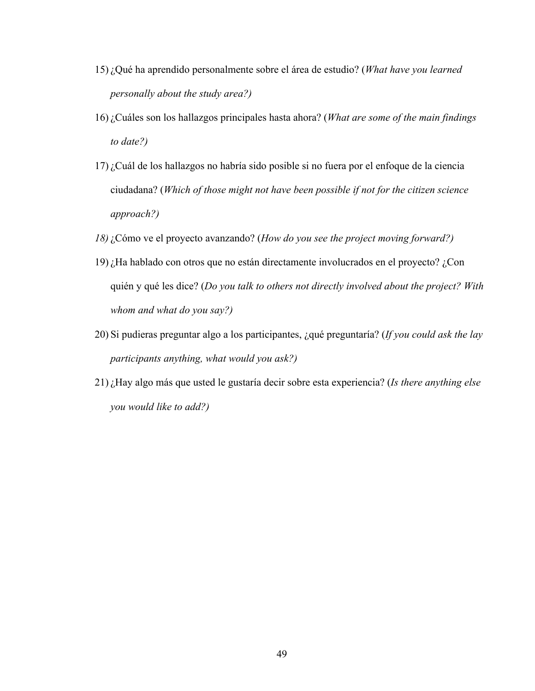- 15) ¿Qué ha aprendido personalmente sobre el área de estudio? (*What have you learned personally about the study area?)*
- 16) ¿Cuáles son los hallazgos principales hasta ahora? (*What are some of the main findings to date?)*
- 17) ¿Cuál de los hallazgos no habría sido posible si no fuera por el enfoque de la ciencia ciudadana? (*Which of those might not have been possible if not for the citizen science approach?)*
- *18)* ¿Cómo ve el proyecto avanzando? (*How do you see the project moving forward?)*
- 19) ¿Ha hablado con otros que no están directamente involucrados en el proyecto? ¿Con quién y qué les dice? (*Do you talk to others not directly involved about the project? With whom and what do you say?)*
- 20) Si pudieras preguntar algo a los participantes, ¿qué preguntaría? (*If you could ask the lay participants anything, what would you ask?)*
- 21) ¿Hay algo más que usted le gustaría decir sobre esta experiencia? (*Is there anything else you would like to add?)*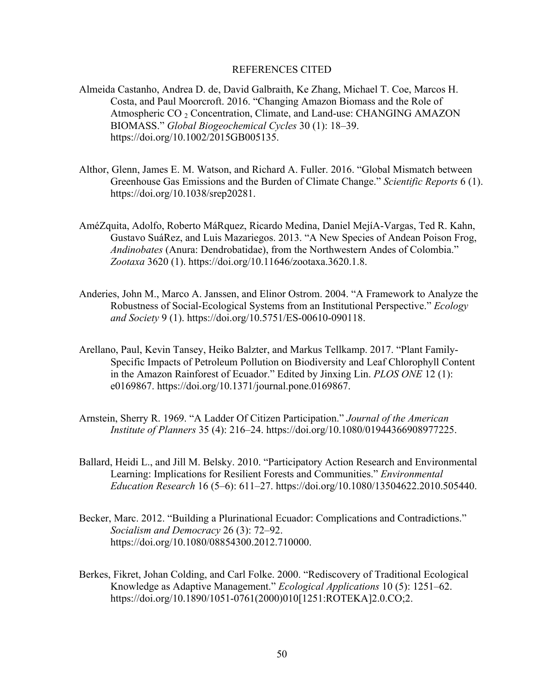### REFERENCES CITED

- Almeida Castanho, Andrea D. de, David Galbraith, Ke Zhang, Michael T. Coe, Marcos H. Costa, and Paul Moorcroft. 2016. "Changing Amazon Biomass and the Role of Atmospheric CO<sub>2</sub> Concentration, Climate, and Land-use: CHANGING AMAZON BIOMASS." *Global Biogeochemical Cycles* 30 (1): 18–39. https://doi.org/10.1002/2015GB005135.
- Althor, Glenn, James E. M. Watson, and Richard A. Fuller. 2016. "Global Mismatch between Greenhouse Gas Emissions and the Burden of Climate Change." *Scientific Reports* 6 (1). https://doi.org/10.1038/srep20281.
- AméZquita, Adolfo, Roberto MáRquez, Ricardo Medina, Daniel MejíA-Vargas, Ted R. Kahn, Gustavo SuáRez, and Luis Mazariegos. 2013. "A New Species of Andean Poison Frog, *Andinobates* (Anura: Dendrobatidae), from the Northwestern Andes of Colombia." *Zootaxa* 3620 (1). https://doi.org/10.11646/zootaxa.3620.1.8.
- Anderies, John M., Marco A. Janssen, and Elinor Ostrom. 2004. "A Framework to Analyze the Robustness of Social-Ecological Systems from an Institutional Perspective." *Ecology and Society* 9 (1). https://doi.org/10.5751/ES-00610-090118.
- Arellano, Paul, Kevin Tansey, Heiko Balzter, and Markus Tellkamp. 2017. "Plant Family-Specific Impacts of Petroleum Pollution on Biodiversity and Leaf Chlorophyll Content in the Amazon Rainforest of Ecuador." Edited by Jinxing Lin. *PLOS ONE* 12 (1): e0169867. https://doi.org/10.1371/journal.pone.0169867.
- Arnstein, Sherry R. 1969. "A Ladder Of Citizen Participation." *Journal of the American Institute of Planners* 35 (4): 216–24. https://doi.org/10.1080/01944366908977225.
- Ballard, Heidi L., and Jill M. Belsky. 2010. "Participatory Action Research and Environmental Learning: Implications for Resilient Forests and Communities." *Environmental Education Research* 16 (5–6): 611–27. https://doi.org/10.1080/13504622.2010.505440.
- Becker, Marc. 2012. "Building a Plurinational Ecuador: Complications and Contradictions." *Socialism and Democracy* 26 (3): 72–92. https://doi.org/10.1080/08854300.2012.710000.
- Berkes, Fikret, Johan Colding, and Carl Folke. 2000. "Rediscovery of Traditional Ecological Knowledge as Adaptive Management." *Ecological Applications* 10 (5): 1251–62. https://doi.org/10.1890/1051-0761(2000)010[1251:ROTEKA]2.0.CO;2.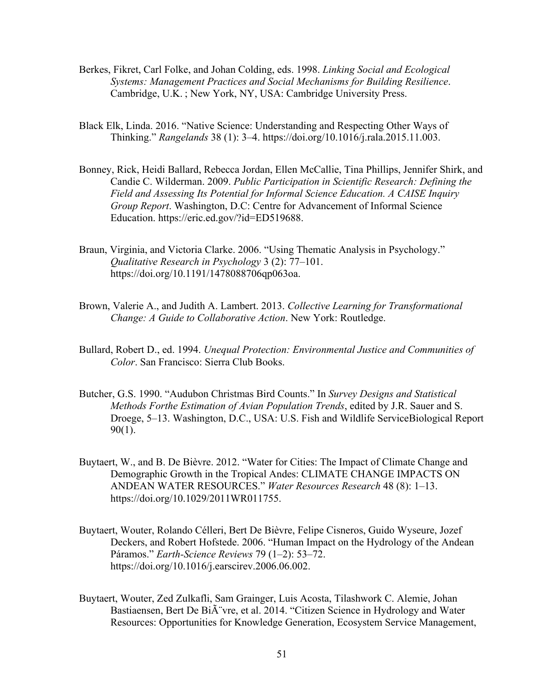- Berkes, Fikret, Carl Folke, and Johan Colding, eds. 1998. *Linking Social and Ecological Systems: Management Practices and Social Mechanisms for Building Resilience*. Cambridge, U.K. ; New York, NY, USA: Cambridge University Press.
- Black Elk, Linda. 2016. "Native Science: Understanding and Respecting Other Ways of Thinking." *Rangelands* 38 (1): 3–4. https://doi.org/10.1016/j.rala.2015.11.003.
- Bonney, Rick, Heidi Ballard, Rebecca Jordan, Ellen McCallie, Tina Phillips, Jennifer Shirk, and Candie C. Wilderman. 2009. *Public Participation in Scientific Research: Defining the Field and Assessing Its Potential for Informal Science Education. A CAISE Inquiry Group Report*. Washington, D.C: Centre for Advancement of Informal Science Education. https://eric.ed.gov/?id=ED519688.
- Braun, Virginia, and Victoria Clarke. 2006. "Using Thematic Analysis in Psychology." *Qualitative Research in Psychology* 3 (2): 77–101. https://doi.org/10.1191/1478088706qp063oa.
- Brown, Valerie A., and Judith A. Lambert. 2013. *Collective Learning for Transformational Change: A Guide to Collaborative Action*. New York: Routledge.
- Bullard, Robert D., ed. 1994. *Unequal Protection: Environmental Justice and Communities of Color*. San Francisco: Sierra Club Books.
- Butcher, G.S. 1990. "Audubon Christmas Bird Counts." In *Survey Designs and Statistical Methods Forthe Estimation of Avian Population Trends*, edited by J.R. Sauer and S. Droege, 5–13. Washington, D.C., USA: U.S. Fish and Wildlife ServiceBiological Report 90(1).
- Buytaert, W., and B. De Bièvre. 2012. "Water for Cities: The Impact of Climate Change and Demographic Growth in the Tropical Andes: CLIMATE CHANGE IMPACTS ON ANDEAN WATER RESOURCES." *Water Resources Research* 48 (8): 1–13. https://doi.org/10.1029/2011WR011755.
- Buytaert, Wouter, Rolando Célleri, Bert De Bièvre, Felipe Cisneros, Guido Wyseure, Jozef Deckers, and Robert Hofstede. 2006. "Human Impact on the Hydrology of the Andean Páramos." *Earth-Science Reviews* 79 (1–2): 53–72. https://doi.org/10.1016/j.earscirev.2006.06.002.
- Buytaert, Wouter, Zed Zulkafli, Sam Grainger, Luis Acosta, Tilashwork C. Alemie, Johan Bastiaensen, Bert De Bi $\tilde{A}$ "vre, et al. 2014. "Citizen Science in Hydrology and Water Resources: Opportunities for Knowledge Generation, Ecosystem Service Management,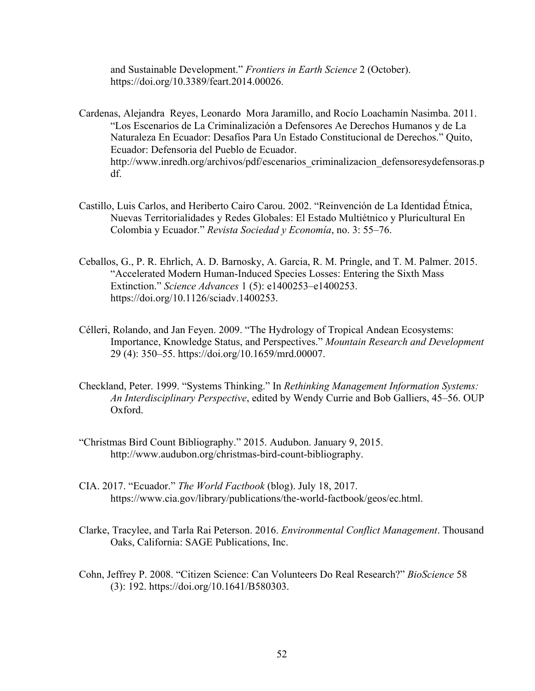and Sustainable Development." *Frontiers in Earth Science* 2 (October). https://doi.org/10.3389/feart.2014.00026.

- Cardenas, Alejandra Reyes, Leonardo Mora Jaramillo, and Rocío Loachamín Nasimba. 2011. "Los Escenarios de La Criminalización a Defensores Ae Derechos Humanos y de La Naturaleza En Ecuador: Desafíos Para Un Estado Constitucional de Derechos." Quito, Ecuador: Defensoria del Pueblo de Ecuador. http://www.inredh.org/archivos/pdf/escenarios\_criminalizacion\_defensoresydefensoras.p df.
- Castillo, Luis Carlos, and Heriberto Cairo Carou. 2002. "Reinvención de La Identidad Étnica, Nuevas Territorialidades y Redes Globales: El Estado Multiétnico y Pluricultural En Colombia y Ecuador." *Revista Sociedad y Economía*, no. 3: 55–76.
- Ceballos, G., P. R. Ehrlich, A. D. Barnosky, A. Garcia, R. M. Pringle, and T. M. Palmer. 2015. "Accelerated Modern Human-Induced Species Losses: Entering the Sixth Mass Extinction." *Science Advances* 1 (5): e1400253–e1400253. https://doi.org/10.1126/sciadv.1400253.
- Célleri, Rolando, and Jan Feyen. 2009. "The Hydrology of Tropical Andean Ecosystems: Importance, Knowledge Status, and Perspectives." *Mountain Research and Development* 29 (4): 350–55. https://doi.org/10.1659/mrd.00007.
- Checkland, Peter. 1999. "Systems Thinking." In *Rethinking Management Information Systems: An Interdisciplinary Perspective*, edited by Wendy Currie and Bob Galliers, 45–56. OUP Oxford.
- "Christmas Bird Count Bibliography." 2015. Audubon. January 9, 2015. http://www.audubon.org/christmas-bird-count-bibliography.
- CIA. 2017. "Ecuador." *The World Factbook* (blog). July 18, 2017. https://www.cia.gov/library/publications/the-world-factbook/geos/ec.html.
- Clarke, Tracylee, and Tarla Rai Peterson. 2016. *Environmental Conflict Management*. Thousand Oaks, California: SAGE Publications, Inc.
- Cohn, Jeffrey P. 2008. "Citizen Science: Can Volunteers Do Real Research?" *BioScience* 58 (3): 192. https://doi.org/10.1641/B580303.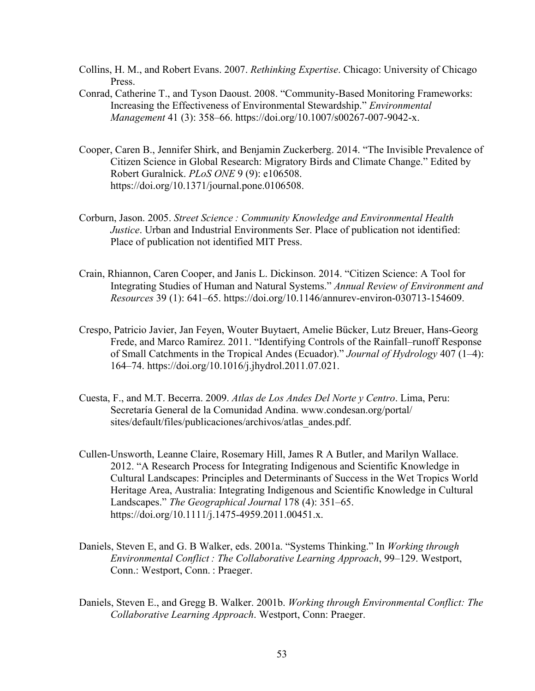- Collins, H. M., and Robert Evans. 2007. *Rethinking Expertise*. Chicago: University of Chicago Press.
- Conrad, Catherine T., and Tyson Daoust. 2008. "Community-Based Monitoring Frameworks: Increasing the Effectiveness of Environmental Stewardship." *Environmental Management* 41 (3): 358–66. https://doi.org/10.1007/s00267-007-9042-x.
- Cooper, Caren B., Jennifer Shirk, and Benjamin Zuckerberg. 2014. "The Invisible Prevalence of Citizen Science in Global Research: Migratory Birds and Climate Change." Edited by Robert Guralnick. *PLoS ONE* 9 (9): e106508. https://doi.org/10.1371/journal.pone.0106508.
- Corburn, Jason. 2005. *Street Science : Community Knowledge and Environmental Health Justice*. Urban and Industrial Environments Ser. Place of publication not identified: Place of publication not identified MIT Press.
- Crain, Rhiannon, Caren Cooper, and Janis L. Dickinson. 2014. "Citizen Science: A Tool for Integrating Studies of Human and Natural Systems." *Annual Review of Environment and Resources* 39 (1): 641–65. https://doi.org/10.1146/annurev-environ-030713-154609.
- Crespo, Patricio Javier, Jan Feyen, Wouter Buytaert, Amelie Bücker, Lutz Breuer, Hans-Georg Frede, and Marco Ramírez. 2011. "Identifying Controls of the Rainfall–runoff Response of Small Catchments in the Tropical Andes (Ecuador)." *Journal of Hydrology* 407 (1–4): 164–74. https://doi.org/10.1016/j.jhydrol.2011.07.021.
- Cuesta, F., and M.T. Becerra. 2009. *Atlas de Los Andes Del Norte y Centro*. Lima, Peru: Secretaría General de la Comunidad Andina. www.condesan.org/portal/ sites/default/files/publicaciones/archivos/atlas\_andes.pdf.
- Cullen-Unsworth, Leanne Claire, Rosemary Hill, James R A Butler, and Marilyn Wallace. 2012. "A Research Process for Integrating Indigenous and Scientific Knowledge in Cultural Landscapes: Principles and Determinants of Success in the Wet Tropics World Heritage Area, Australia: Integrating Indigenous and Scientific Knowledge in Cultural Landscapes." *The Geographical Journal* 178 (4): 351–65. https://doi.org/10.1111/j.1475-4959.2011.00451.x.
- Daniels, Steven E, and G. B Walker, eds. 2001a. "Systems Thinking." In *Working through Environmental Conflict : The Collaborative Learning Approach*, 99–129. Westport, Conn.: Westport, Conn. : Praeger.
- Daniels, Steven E., and Gregg B. Walker. 2001b. *Working through Environmental Conflict: The Collaborative Learning Approach*. Westport, Conn: Praeger.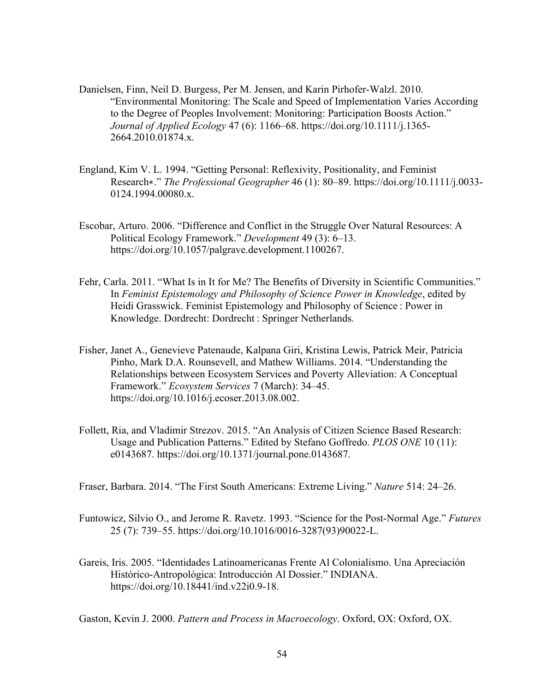- Danielsen, Finn, Neil D. Burgess, Per M. Jensen, and Karin Pirhofer-Walzl. 2010. "Environmental Monitoring: The Scale and Speed of Implementation Varies According to the Degree of Peoples Involvement: Monitoring: Participation Boosts Action." *Journal of Applied Ecology* 47 (6): 1166–68. https://doi.org/10.1111/j.1365- 2664.2010.01874.x.
- England, Kim V. L. 1994. "Getting Personal: Reflexivity, Positionality, and Feminist Research∗." *The Professional Geographer* 46 (1): 80–89. https://doi.org/10.1111/j.0033- 0124.1994.00080.x.
- Escobar, Arturo. 2006. "Difference and Conflict in the Struggle Over Natural Resources: A Political Ecology Framework." *Development* 49 (3): 6–13. https://doi.org/10.1057/palgrave.development.1100267.
- Fehr, Carla. 2011. "What Is in It for Me? The Benefits of Diversity in Scientific Communities." In *Feminist Epistemology and Philosophy of Science Power in Knowledge*, edited by Heidi Grasswick. Feminist Epistemology and Philosophy of Science : Power in Knowledge. Dordrecht: Dordrecht : Springer Netherlands.
- Fisher, Janet A., Genevieve Patenaude, Kalpana Giri, Kristina Lewis, Patrick Meir, Patricia Pinho, Mark D.A. Rounsevell, and Mathew Williams. 2014. "Understanding the Relationships between Ecosystem Services and Poverty Alleviation: A Conceptual Framework." *Ecosystem Services* 7 (March): 34–45. https://doi.org/10.1016/j.ecoser.2013.08.002.
- Follett, Ria, and Vladimir Strezov. 2015. "An Analysis of Citizen Science Based Research: Usage and Publication Patterns." Edited by Stefano Goffredo. *PLOS ONE* 10 (11): e0143687. https://doi.org/10.1371/journal.pone.0143687.
- Fraser, Barbara. 2014. "The First South Americans: Extreme Living." *Nature* 514: 24–26.
- Funtowicz, Silvio O., and Jerome R. Ravetz. 1993. "Science for the Post-Normal Age." *Futures* 25 (7): 739–55. https://doi.org/10.1016/0016-3287(93)90022-L.
- Gareis, Iris. 2005. "Identidades Latinoamericanas Frente Al Colonialismo. Una Apreciación Histórico-Antropológica: Introducción Al Dossier." INDIANA. https://doi.org/10.18441/ind.v22i0.9-18.

Gaston, Kevin J. 2000. *Pattern and Process in Macroecology*. Oxford, OX: Oxford, OX.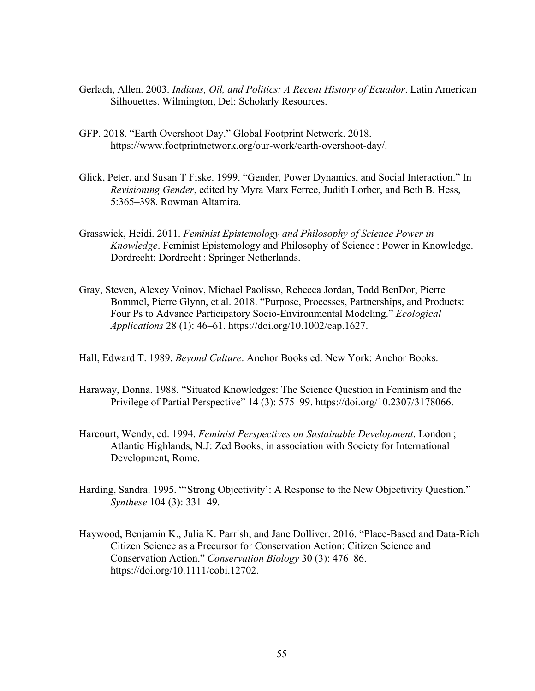- Gerlach, Allen. 2003. *Indians, Oil, and Politics: A Recent History of Ecuador*. Latin American Silhouettes. Wilmington, Del: Scholarly Resources.
- GFP. 2018. "Earth Overshoot Day." Global Footprint Network. 2018. https://www.footprintnetwork.org/our-work/earth-overshoot-day/.
- Glick, Peter, and Susan T Fiske. 1999. "Gender, Power Dynamics, and Social Interaction." In *Revisioning Gender*, edited by Myra Marx Ferree, Judith Lorber, and Beth B. Hess, 5:365–398. Rowman Altamira.
- Grasswick, Heidi. 2011. *Feminist Epistemology and Philosophy of Science Power in Knowledge*. Feminist Epistemology and Philosophy of Science : Power in Knowledge. Dordrecht: Dordrecht : Springer Netherlands.
- Gray, Steven, Alexey Voinov, Michael Paolisso, Rebecca Jordan, Todd BenDor, Pierre Bommel, Pierre Glynn, et al. 2018. "Purpose, Processes, Partnerships, and Products: Four Ps to Advance Participatory Socio-Environmental Modeling." *Ecological Applications* 28 (1): 46–61. https://doi.org/10.1002/eap.1627.
- Hall, Edward T. 1989. *Beyond Culture*. Anchor Books ed. New York: Anchor Books.
- Haraway, Donna. 1988. "Situated Knowledges: The Science Question in Feminism and the Privilege of Partial Perspective" 14 (3): 575–99. https://doi.org/10.2307/3178066.
- Harcourt, Wendy, ed. 1994. *Feminist Perspectives on Sustainable Development*. London ; Atlantic Highlands, N.J: Zed Books, in association with Society for International Development, Rome.
- Harding, Sandra. 1995. "'Strong Objectivity': A Response to the New Objectivity Question." *Synthese* 104 (3): 331–49.
- Haywood, Benjamin K., Julia K. Parrish, and Jane Dolliver. 2016. "Place-Based and Data-Rich Citizen Science as a Precursor for Conservation Action: Citizen Science and Conservation Action." *Conservation Biology* 30 (3): 476–86. https://doi.org/10.1111/cobi.12702.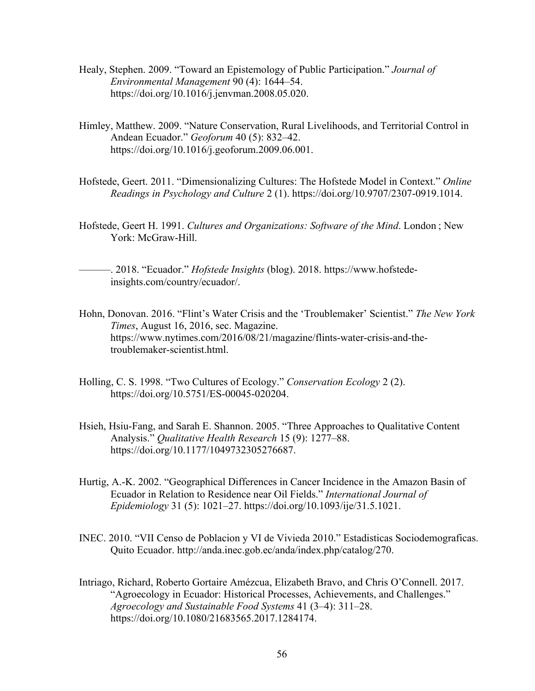- Healy, Stephen. 2009. "Toward an Epistemology of Public Participation." *Journal of Environmental Management* 90 (4): 1644–54. https://doi.org/10.1016/j.jenvman.2008.05.020.
- Himley, Matthew. 2009. "Nature Conservation, Rural Livelihoods, and Territorial Control in Andean Ecuador." *Geoforum* 40 (5): 832–42. https://doi.org/10.1016/j.geoforum.2009.06.001.
- Hofstede, Geert. 2011. "Dimensionalizing Cultures: The Hofstede Model in Context." *Online Readings in Psychology and Culture* 2 (1). https://doi.org/10.9707/2307-0919.1014.
- Hofstede, Geert H. 1991. *Cultures and Organizations: Software of the Mind*. London ; New York: McGraw-Hill.

———. 2018. "Ecuador." *Hofstede Insights* (blog). 2018. https://www.hofstedeinsights.com/country/ecuador/.

- Hohn, Donovan. 2016. "Flint's Water Crisis and the 'Troublemaker' Scientist." *The New York Times*, August 16, 2016, sec. Magazine. https://www.nytimes.com/2016/08/21/magazine/flints-water-crisis-and-thetroublemaker-scientist.html.
- Holling, C. S. 1998. "Two Cultures of Ecology." *Conservation Ecology* 2 (2). https://doi.org/10.5751/ES-00045-020204.
- Hsieh, Hsiu-Fang, and Sarah E. Shannon. 2005. "Three Approaches to Qualitative Content Analysis." *Qualitative Health Research* 15 (9): 1277–88. https://doi.org/10.1177/1049732305276687.
- Hurtig, A.-K. 2002. "Geographical Differences in Cancer Incidence in the Amazon Basin of Ecuador in Relation to Residence near Oil Fields." *International Journal of Epidemiology* 31 (5): 1021–27. https://doi.org/10.1093/ije/31.5.1021.
- INEC. 2010. "VII Censo de Poblacion y VI de Vivieda 2010." Estadisticas Sociodemograficas. Quito Ecuador. http://anda.inec.gob.ec/anda/index.php/catalog/270.
- Intriago, Richard, Roberto Gortaire Amézcua, Elizabeth Bravo, and Chris O'Connell. 2017. "Agroecology in Ecuador: Historical Processes, Achievements, and Challenges." *Agroecology and Sustainable Food Systems* 41 (3–4): 311–28. https://doi.org/10.1080/21683565.2017.1284174.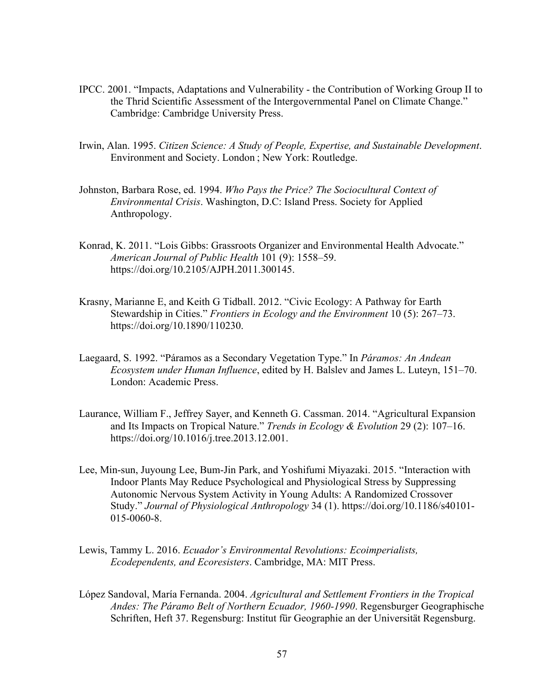- IPCC. 2001. "Impacts, Adaptations and Vulnerability the Contribution of Working Group II to the Thrid Scientific Assessment of the Intergovernmental Panel on Climate Change." Cambridge: Cambridge University Press.
- Irwin, Alan. 1995. *Citizen Science: A Study of People, Expertise, and Sustainable Development*. Environment and Society. London ; New York: Routledge.
- Johnston, Barbara Rose, ed. 1994. *Who Pays the Price? The Sociocultural Context of Environmental Crisis*. Washington, D.C: Island Press. Society for Applied Anthropology.
- Konrad, K. 2011. "Lois Gibbs: Grassroots Organizer and Environmental Health Advocate." *American Journal of Public Health* 101 (9): 1558–59. https://doi.org/10.2105/AJPH.2011.300145.
- Krasny, Marianne E, and Keith G Tidball. 2012. "Civic Ecology: A Pathway for Earth Stewardship in Cities." *Frontiers in Ecology and the Environment* 10 (5): 267–73. https://doi.org/10.1890/110230.
- Laegaard, S. 1992. "Páramos as a Secondary Vegetation Type." In *Páramos: An Andean Ecosystem under Human Influence*, edited by H. Balslev and James L. Luteyn, 151–70. London: Academic Press.
- Laurance, William F., Jeffrey Sayer, and Kenneth G. Cassman. 2014. "Agricultural Expansion and Its Impacts on Tropical Nature." *Trends in Ecology & Evolution* 29 (2): 107–16. https://doi.org/10.1016/j.tree.2013.12.001.
- Lee, Min-sun, Juyoung Lee, Bum-Jin Park, and Yoshifumi Miyazaki. 2015. "Interaction with Indoor Plants May Reduce Psychological and Physiological Stress by Suppressing Autonomic Nervous System Activity in Young Adults: A Randomized Crossover Study." *Journal of Physiological Anthropology* 34 (1). https://doi.org/10.1186/s40101- 015-0060-8.
- Lewis, Tammy L. 2016. *Ecuador's Environmental Revolutions: Ecoimperialists, Ecodependents, and Ecoresisters*. Cambridge, MA: MIT Press.
- López Sandoval, María Fernanda. 2004. *Agricultural and Settlement Frontiers in the Tropical Andes: The Páramo Belt of Northern Ecuador, 1960-1990*. Regensburger Geographische Schriften, Heft 37. Regensburg: Institut für Geographie an der Universität Regensburg.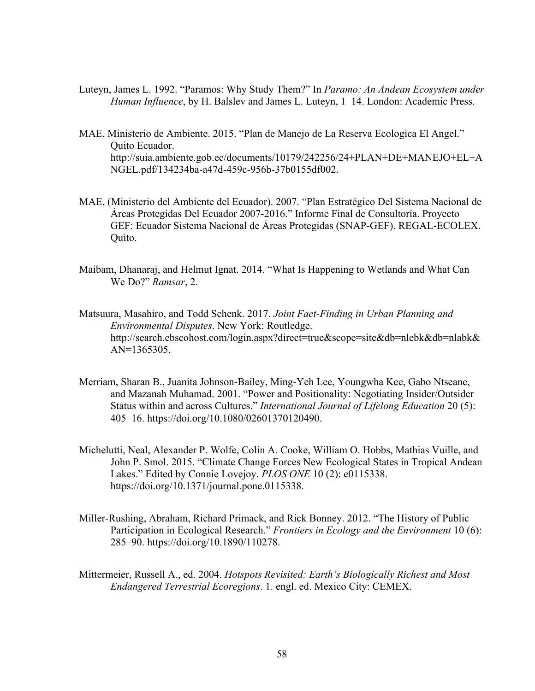- Luteyn, James L. 1992. "Paramos: Why Study Them?" In *Paramo: An Andean Ecosystem under Human Influence*, by H. Balslev and James L. Luteyn, 1–14. London: Academic Press.
- MAE, Ministerio de Ambiente. 2015. "Plan de Manejo de La Reserva Ecologica El Angel." Quito Ecuador. http://suia.ambiente.gob.ec/documents/10179/242256/24+PLAN+DE+MANEJO+EL+A NGEL.pdf/134234ba-a47d-459c-956b-37b0155df002.
- MAE, (Ministerio del Ambiente del Ecuador). 2007. "Plan Estratégico Del Sistema Nacional de Áreas Protegidas Del Ecuador 2007-2016." Informe Final de Consultoría. Proyecto GEF: Ecuador Sistema Nacional de Áreas Protegidas (SNAP-GEF). REGAL-ECOLEX. Quito.
- Maibam, Dhanaraj, and Helmut Ignat. 2014. "What Is Happening to Wetlands and What Can We Do?" *Ramsar*, 2.
- Matsuura, Masahiro, and Todd Schenk. 2017. *Joint Fact-Finding in Urban Planning and Environmental Disputes*. New York: Routledge. http://search.ebscohost.com/login.aspx?direct=true&scope=site&db=nlebk&db=nlabk& AN=1365305.
- Merriam, Sharan B., Juanita Johnson-Bailey, Ming-Yeh Lee, Youngwha Kee, Gabo Ntseane, and Mazanah Muhamad. 2001. "Power and Positionality: Negotiating Insider/Outsider Status within and across Cultures." *International Journal of Lifelong Education* 20 (5): 405–16. https://doi.org/10.1080/02601370120490.
- Michelutti, Neal, Alexander P. Wolfe, Colin A. Cooke, William O. Hobbs, Mathias Vuille, and John P. Smol. 2015. "Climate Change Forces New Ecological States in Tropical Andean Lakes." Edited by Connie Lovejoy. *PLOS ONE* 10 (2): e0115338. https://doi.org/10.1371/journal.pone.0115338.
- Miller-Rushing, Abraham, Richard Primack, and Rick Bonney. 2012. "The History of Public Participation in Ecological Research." *Frontiers in Ecology and the Environment* 10 (6): 285–90. https://doi.org/10.1890/110278.
- Mittermeier, Russell A., ed. 2004. *Hotspots Revisited: Earth's Biologically Richest and Most Endangered Terrestrial Ecoregions*. 1. engl. ed. Mexico City: CEMEX.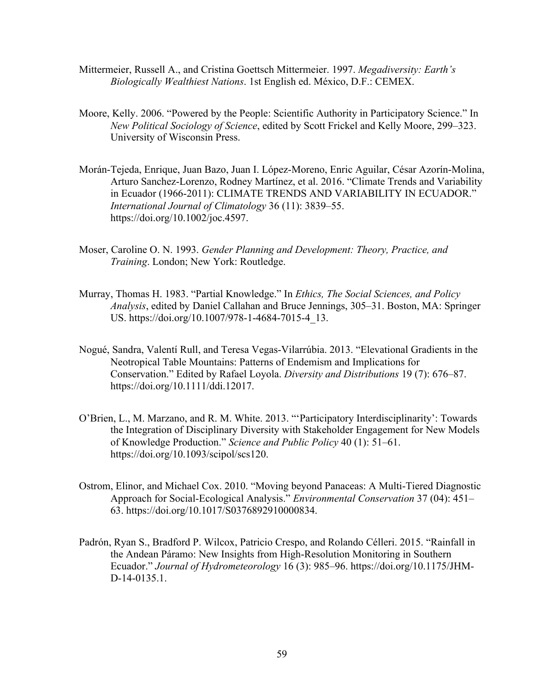- Mittermeier, Russell A., and Cristina Goettsch Mittermeier. 1997. *Megadiversity: Earth's Biologically Wealthiest Nations*. 1st English ed. México, D.F.: CEMEX.
- Moore, Kelly. 2006. "Powered by the People: Scientific Authority in Participatory Science." In *New Political Sociology of Science*, edited by Scott Frickel and Kelly Moore, 299–323. University of Wisconsin Press.
- Morán-Tejeda, Enrique, Juan Bazo, Juan I. López-Moreno, Enric Aguilar, César Azorín-Molina, Arturo Sanchez-Lorenzo, Rodney Martínez, et al. 2016. "Climate Trends and Variability in Ecuador (1966-2011): CLIMATE TRENDS AND VARIABILITY IN ECUADOR." *International Journal of Climatology* 36 (11): 3839–55. https://doi.org/10.1002/joc.4597.
- Moser, Caroline O. N. 1993. *Gender Planning and Development: Theory, Practice, and Training*. London; New York: Routledge.
- Murray, Thomas H. 1983. "Partial Knowledge." In *Ethics, The Social Sciences, and Policy Analysis*, edited by Daniel Callahan and Bruce Jennings, 305–31. Boston, MA: Springer US. https://doi.org/10.1007/978-1-4684-7015-4\_13.
- Nogué, Sandra, Valentí Rull, and Teresa Vegas-Vilarrúbia. 2013. "Elevational Gradients in the Neotropical Table Mountains: Patterns of Endemism and Implications for Conservation." Edited by Rafael Loyola. *Diversity and Distributions* 19 (7): 676–87. https://doi.org/10.1111/ddi.12017.
- O'Brien, L., M. Marzano, and R. M. White. 2013. "'Participatory Interdisciplinarity': Towards the Integration of Disciplinary Diversity with Stakeholder Engagement for New Models of Knowledge Production." *Science and Public Policy* 40 (1): 51–61. https://doi.org/10.1093/scipol/scs120.
- Ostrom, Elinor, and Michael Cox. 2010. "Moving beyond Panaceas: A Multi-Tiered Diagnostic Approach for Social-Ecological Analysis." *Environmental Conservation* 37 (04): 451– 63. https://doi.org/10.1017/S0376892910000834.
- Padrón, Ryan S., Bradford P. Wilcox, Patricio Crespo, and Rolando Célleri. 2015. "Rainfall in the Andean Páramo: New Insights from High-Resolution Monitoring in Southern Ecuador." *Journal of Hydrometeorology* 16 (3): 985–96. https://doi.org/10.1175/JHM-D-14-0135.1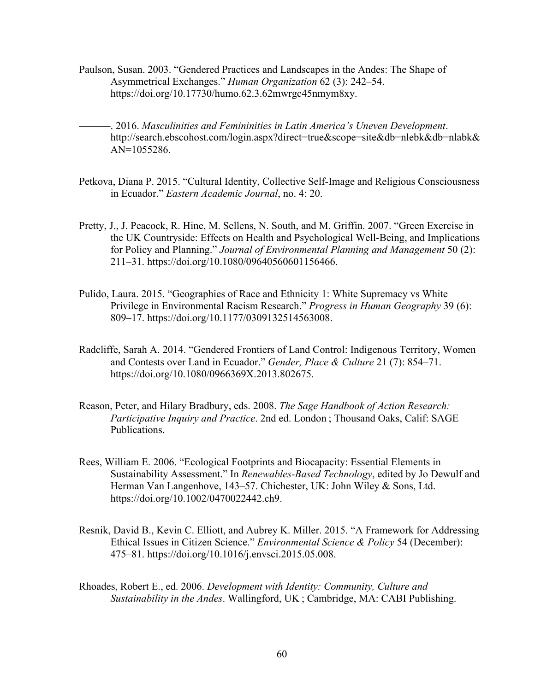- Paulson, Susan. 2003. "Gendered Practices and Landscapes in the Andes: The Shape of Asymmetrical Exchanges." *Human Organization* 62 (3): 242–54. https://doi.org/10.17730/humo.62.3.62mwrgc45nmym8xy.
	- ———. 2016. *Masculinities and Femininities in Latin America's Uneven Development*. http://search.ebscohost.com/login.aspx?direct=true&scope=site&db=nlebk&db=nlabk& AN=1055286.
- Petkova, Diana P. 2015. "Cultural Identity, Collective Self-Image and Religious Consciousness in Ecuador." *Eastern Academic Journal*, no. 4: 20.
- Pretty, J., J. Peacock, R. Hine, M. Sellens, N. South, and M. Griffin. 2007. "Green Exercise in the UK Countryside: Effects on Health and Psychological Well-Being, and Implications for Policy and Planning." *Journal of Environmental Planning and Management* 50 (2): 211–31. https://doi.org/10.1080/09640560601156466.
- Pulido, Laura. 2015. "Geographies of Race and Ethnicity 1: White Supremacy vs White Privilege in Environmental Racism Research." *Progress in Human Geography* 39 (6): 809–17. https://doi.org/10.1177/0309132514563008.
- Radcliffe, Sarah A. 2014. "Gendered Frontiers of Land Control: Indigenous Territory, Women and Contests over Land in Ecuador." *Gender, Place & Culture* 21 (7): 854–71. https://doi.org/10.1080/0966369X.2013.802675.
- Reason, Peter, and Hilary Bradbury, eds. 2008. *The Sage Handbook of Action Research: Participative Inquiry and Practice*. 2nd ed. London ; Thousand Oaks, Calif: SAGE Publications.
- Rees, William E. 2006. "Ecological Footprints and Biocapacity: Essential Elements in Sustainability Assessment." In *Renewables-Based Technology*, edited by Jo Dewulf and Herman Van Langenhove, 143–57. Chichester, UK: John Wiley & Sons, Ltd. https://doi.org/10.1002/0470022442.ch9.
- Resnik, David B., Kevin C. Elliott, and Aubrey K. Miller. 2015. "A Framework for Addressing Ethical Issues in Citizen Science." *Environmental Science & Policy* 54 (December): 475–81. https://doi.org/10.1016/j.envsci.2015.05.008.
- Rhoades, Robert E., ed. 2006. *Development with Identity: Community, Culture and Sustainability in the Andes*. Wallingford, UK ; Cambridge, MA: CABI Publishing.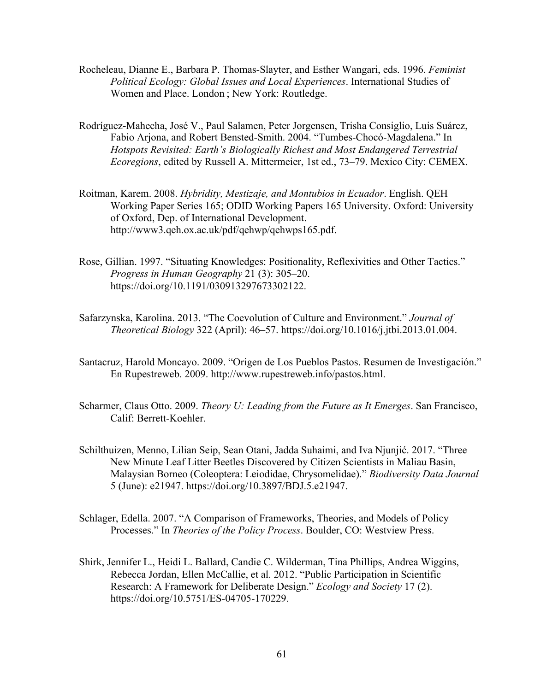- Rocheleau, Dianne E., Barbara P. Thomas-Slayter, and Esther Wangari, eds. 1996. *Feminist Political Ecology: Global Issues and Local Experiences*. International Studies of Women and Place. London ; New York: Routledge.
- Rodríguez-Mahecha, José V., Paul Salamen, Peter Jorgensen, Trisha Consiglio, Luis Suárez, Fabio Arjona, and Robert Bensted-Smith. 2004. "Tumbes-Chocó-Magdalena." In *Hotspots Revisited: Earth's Biologically Richest and Most Endangered Terrestrial Ecoregions*, edited by Russell A. Mittermeier, 1st ed., 73–79. Mexico City: CEMEX.
- Roitman, Karem. 2008. *Hybridity, Mestizaje, and Montubios in Ecuador*. English. QEH Working Paper Series 165; ODID Working Papers 165 University. Oxford: University of Oxford, Dep. of International Development. http://www3.qeh.ox.ac.uk/pdf/qehwp/qehwps165.pdf.
- Rose, Gillian. 1997. "Situating Knowledges: Positionality, Reflexivities and Other Tactics." *Progress in Human Geography* 21 (3): 305–20. https://doi.org/10.1191/030913297673302122.
- Safarzynska, Karolina. 2013. "The Coevolution of Culture and Environment." *Journal of Theoretical Biology* 322 (April): 46–57. https://doi.org/10.1016/j.jtbi.2013.01.004.
- Santacruz, Harold Moncayo. 2009. "Origen de Los Pueblos Pastos. Resumen de Investigación." En Rupestreweb. 2009. http://www.rupestreweb.info/pastos.html.
- Scharmer, Claus Otto. 2009. *Theory U: Leading from the Future as It Emerges*. San Francisco, Calif: Berrett-Koehler.
- Schilthuizen, Menno, Lilian Seip, Sean Otani, Jadda Suhaimi, and Iva Njunjić. 2017. "Three New Minute Leaf Litter Beetles Discovered by Citizen Scientists in Maliau Basin, Malaysian Borneo (Coleoptera: Leiodidae, Chrysomelidae)." *Biodiversity Data Journal* 5 (June): e21947. https://doi.org/10.3897/BDJ.5.e21947.
- Schlager, Edella. 2007. "A Comparison of Frameworks, Theories, and Models of Policy Processes." In *Theories of the Policy Process*. Boulder, CO: Westview Press.
- Shirk, Jennifer L., Heidi L. Ballard, Candie C. Wilderman, Tina Phillips, Andrea Wiggins, Rebecca Jordan, Ellen McCallie, et al. 2012. "Public Participation in Scientific Research: A Framework for Deliberate Design." *Ecology and Society* 17 (2). https://doi.org/10.5751/ES-04705-170229.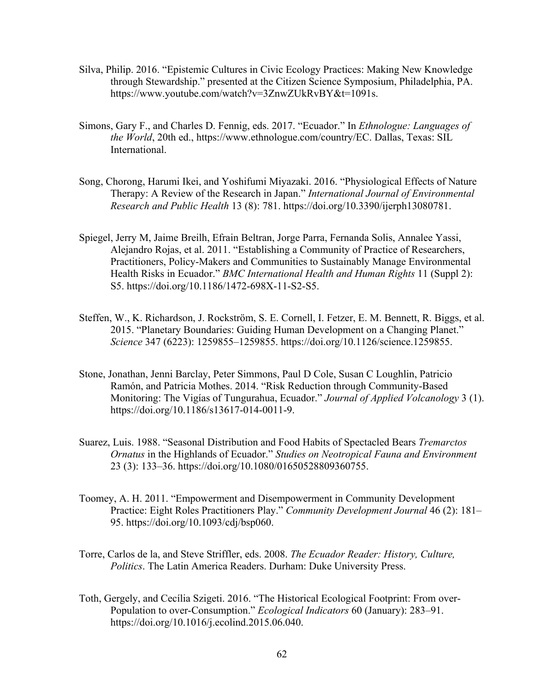- Silva, Philip. 2016. "Epistemic Cultures in Civic Ecology Practices: Making New Knowledge through Stewardship." presented at the Citizen Science Symposium, Philadelphia, PA. https://www.youtube.com/watch?v=3ZnwZUkRvBY&t=1091s.
- Simons, Gary F., and Charles D. Fennig, eds. 2017. "Ecuador." In *Ethnologue: Languages of the World*, 20th ed., https://www.ethnologue.com/country/EC. Dallas, Texas: SIL International.
- Song, Chorong, Harumi Ikei, and Yoshifumi Miyazaki. 2016. "Physiological Effects of Nature Therapy: A Review of the Research in Japan." *International Journal of Environmental Research and Public Health* 13 (8): 781. https://doi.org/10.3390/ijerph13080781.
- Spiegel, Jerry M, Jaime Breilh, Efrain Beltran, Jorge Parra, Fernanda Solis, Annalee Yassi, Alejandro Rojas, et al. 2011. "Establishing a Community of Practice of Researchers, Practitioners, Policy-Makers and Communities to Sustainably Manage Environmental Health Risks in Ecuador." *BMC International Health and Human Rights* 11 (Suppl 2): S5. https://doi.org/10.1186/1472-698X-11-S2-S5.
- Steffen, W., K. Richardson, J. Rockström, S. E. Cornell, I. Fetzer, E. M. Bennett, R. Biggs, et al. 2015. "Planetary Boundaries: Guiding Human Development on a Changing Planet." *Science* 347 (6223): 1259855–1259855. https://doi.org/10.1126/science.1259855.
- Stone, Jonathan, Jenni Barclay, Peter Simmons, Paul D Cole, Susan C Loughlin, Patricio Ramón, and Patricia Mothes. 2014. "Risk Reduction through Community-Based Monitoring: The Vigías of Tungurahua, Ecuador." *Journal of Applied Volcanology* 3 (1). https://doi.org/10.1186/s13617-014-0011-9.
- Suarez, Luis. 1988. "Seasonal Distribution and Food Habits of Spectacled Bears *Tremarctos Ornatus* in the Highlands of Ecuador." *Studies on Neotropical Fauna and Environment* 23 (3): 133–36. https://doi.org/10.1080/01650528809360755.
- Toomey, A. H. 2011. "Empowerment and Disempowerment in Community Development Practice: Eight Roles Practitioners Play." *Community Development Journal* 46 (2): 181– 95. https://doi.org/10.1093/cdj/bsp060.
- Torre, Carlos de la, and Steve Striffler, eds. 2008. *The Ecuador Reader: History, Culture, Politics*. The Latin America Readers. Durham: Duke University Press.
- Toth, Gergely, and Cecília Szigeti. 2016. "The Historical Ecological Footprint: From over-Population to over-Consumption." *Ecological Indicators* 60 (January): 283–91. https://doi.org/10.1016/j.ecolind.2015.06.040.